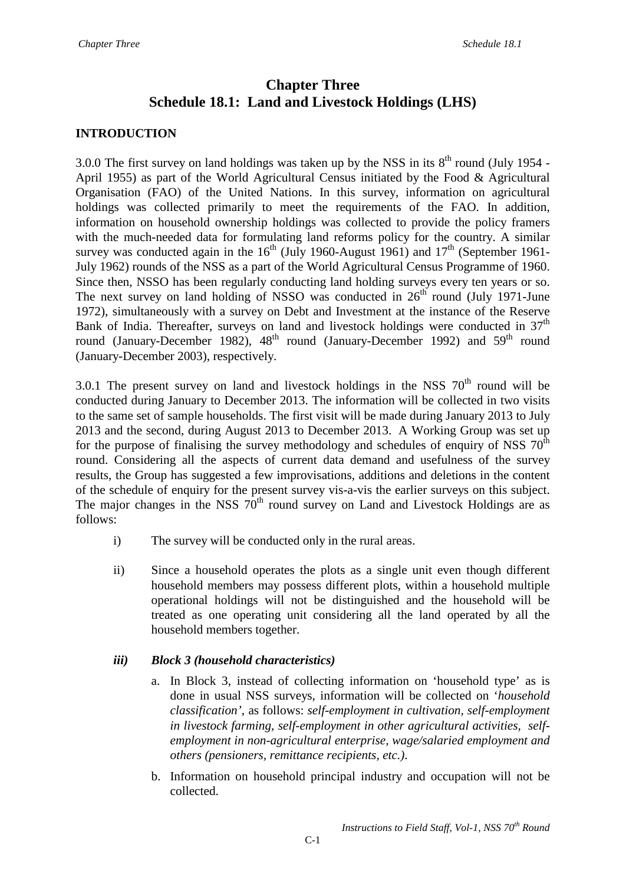# **Chapter Three Schedule 18.1: Land and Livestock Holdings (LHS)**

## **INTRODUCTION**

3.0.0 The first survey on land holdings was taken up by the NSS in its  $8<sup>th</sup>$  round (July 1954 -April 1955) as part of the World Agricultural Census initiated by the Food & Agricultural Organisation (FAO) of the United Nations. In this survey, information on agricultural holdings was collected primarily to meet the requirements of the FAO. In addition, information on household ownership holdings was collected to provide the policy framers with the much-needed data for formulating land reforms policy for the country. A similar survey was conducted again in the  $16<sup>th</sup>$  (July 1960-August 1961) and  $17<sup>th</sup>$  (September 1961-July 1962) rounds of the NSS as a part of the World Agricultural Census Programme of 1960. Since then, NSSO has been regularly conducting land holding surveys every ten years or so. The next survey on land holding of NSSO was conducted in  $26<sup>th</sup>$  round (July 1971-June 1972), simultaneously with a survey on Debt and Investment at the instance of the Reserve Bank of India. Thereafter, surveys on land and livestock holdings were conducted in  $37<sup>th</sup>$ round (January-December 1982),  $48<sup>th</sup>$  round (January-December 1992) and  $59<sup>th</sup>$  round (January-December 2003), respectively.

3.0.1 The present survey on land and livestock holdings in the NSS  $70<sup>th</sup>$  round will be conducted during January to December 2013. The information will be collected in two visits to the same set of sample households. The first visit will be made during January 2013 to July 2013 and the second, during August 2013 to December 2013. A Working Group was set up for the purpose of finalising the survey methodology and schedules of enquiry of NSS  $70<sup>th</sup>$ round. Considering all the aspects of current data demand and usefulness of the survey results, the Group has suggested a few improvisations, additions and deletions in the content of the schedule of enquiry for the present survey vis-a-vis the earlier surveys on this subject. The major changes in the NSS  $70<sup>th</sup>$  round survey on Land and Livestock Holdings are as follows:

- i) The survey will be conducted only in the rural areas.
- ii) Since a household operates the plots as a single unit even though different household members may possess different plots, within a household multiple operational holdings will not be distinguished and the household will be treated as one operating unit considering all the land operated by all the household members together.

### *iii) Block 3 (household characteristics)*

- a. In Block 3, instead of collecting information on 'household type' as is done in usual NSS surveys, information will be collected on '*household classification'*, as follows: *self-employment in cultivation, self-employment in livestock farming, self-employment in other agricultural activities, selfemployment in non-agricultural enterprise, wage/salaried employment and others (pensioners, remittance recipients, etc.)*.
- b. Information on household principal industry and occupation will not be collected.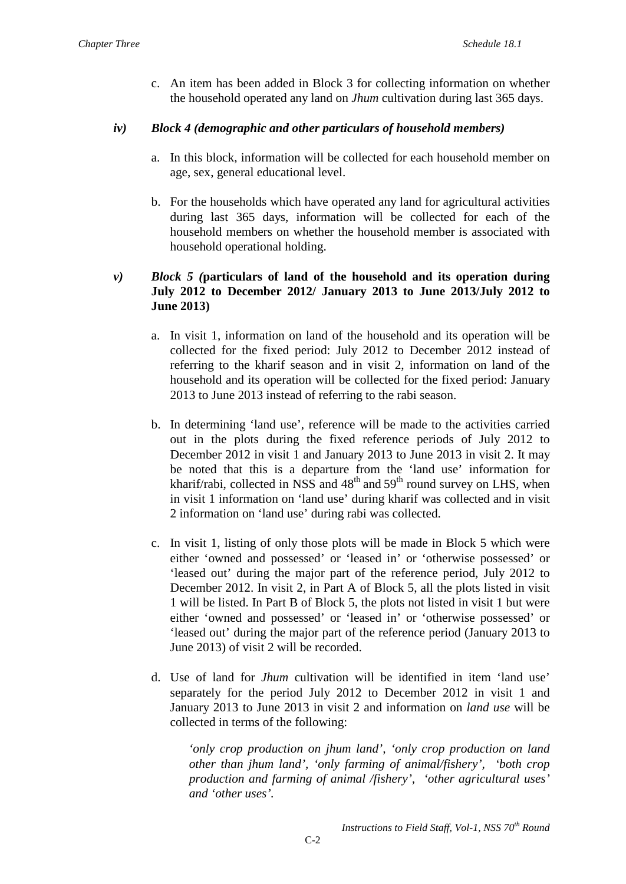c. An item has been added in Block 3 for collecting information on whether the household operated any land on *Jhum* cultivation during last 365 days.

### *iv) Block 4 (demographic and other particulars of household members)*

- a. In this block, information will be collected for each household member on age, sex, general educational level.
- b. For the households which have operated any land for agricultural activities during last 365 days, information will be collected for each of the household members on whether the household member is associated with household operational holding.

### *v) Block 5 (***particulars of land of the household and its operation during July 2012 to December 2012/ January 2013 to June 2013/July 2012 to June 2013)**

- a. In visit 1, information on land of the household and its operation will be collected for the fixed period: July 2012 to December 2012 instead of referring to the kharif season and in visit 2, information on land of the household and its operation will be collected for the fixed period: January 2013 to June 2013 instead of referring to the rabi season.
- b. In determining 'land use', reference will be made to the activities carried out in the plots during the fixed reference periods of July 2012 to December 2012 in visit 1 and January 2013 to June 2013 in visit 2. It may be noted that this is a departure from the 'land use' information for kharif/rabi, collected in NSS and  $48<sup>th</sup>$  and  $59<sup>th</sup>$  round survey on LHS, when in visit 1 information on 'land use' during kharif was collected and in visit 2 information on 'land use' during rabi was collected.
- c. In visit 1, listing of only those plots will be made in Block 5 which were either 'owned and possessed' or 'leased in' or 'otherwise possessed' or 'leased out' during the major part of the reference period, July 2012 to December 2012. In visit 2, in Part A of Block 5, all the plots listed in visit 1 will be listed. In Part B of Block 5, the plots not listed in visit 1 but were either 'owned and possessed' or 'leased in' or 'otherwise possessed' or 'leased out' during the major part of the reference period (January 2013 to June 2013) of visit 2 will be recorded.
- d. Use of land for *Jhum* cultivation will be identified in item 'land use' separately for the period July 2012 to December 2012 in visit 1 and January 2013 to June 2013 in visit 2 and information on *land use* will be collected in terms of the following:

*'only crop production on jhum land', 'only crop production on land other than jhum land', 'only farming of animal/fishery', 'both crop production and farming of animal /fishery', 'other agricultural uses' and 'other uses'.*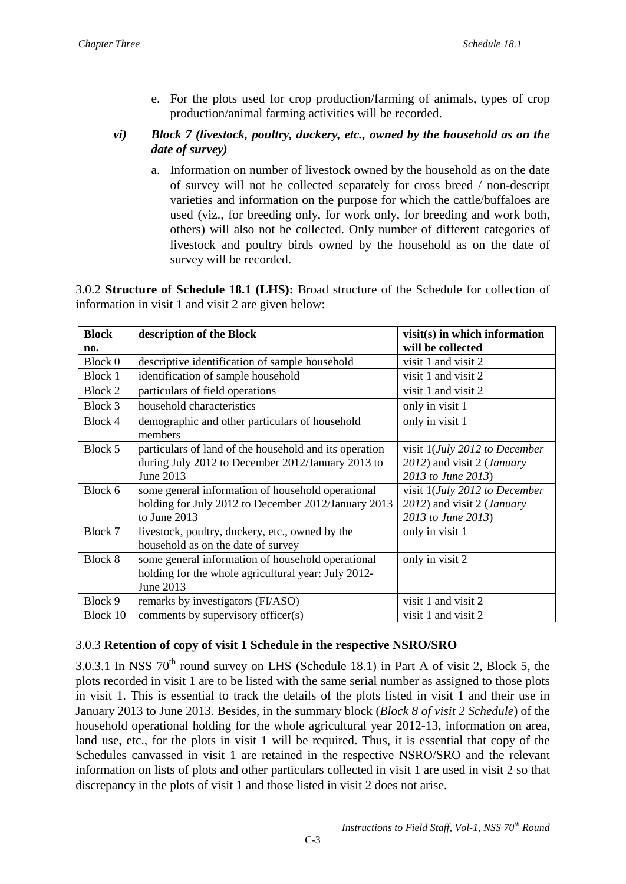- e. For the plots used for crop production/farming of animals, types of crop production/animal farming activities will be recorded.
- *vi) Block 7 (livestock, poultry, duckery, etc., owned by the household as on the date of survey)*
	- a. Information on number of livestock owned by the household as on the date of survey will not be collected separately for cross breed / non-descript varieties and information on the purpose for which the cattle/buffaloes are used (viz., for breeding only, for work only, for breeding and work both, others) will also not be collected. Only number of different categories of livestock and poultry birds owned by the household as on the date of survey will be recorded.

3.0.2 **Structure of Schedule 18.1 (LHS):** Broad structure of the Schedule for collection of information in visit 1 and visit 2 are given below:

| <b>Block</b>   | description of the Block<br>$visit(s)$ in which information |                                    |  |
|----------------|-------------------------------------------------------------|------------------------------------|--|
| no.            |                                                             | will be collected                  |  |
| Block 0        | descriptive identification of sample household              | visit 1 and visit 2                |  |
| <b>Block 1</b> | identification of sample household                          | visit 1 and visit 2                |  |
| <b>Block 2</b> | particulars of field operations                             | visit 1 and visit 2                |  |
| Block 3        | household characteristics                                   | only in visit 1                    |  |
| Block 4        | demographic and other particulars of household              | only in visit 1                    |  |
|                | members                                                     |                                    |  |
| Block 5        | particulars of land of the household and its operation      | visit 1(July 2012 to December      |  |
|                | during July 2012 to December 2012/January 2013 to           | 2012) and visit 2 ( <i>January</i> |  |
|                | June 2013                                                   | 2013 to June 2013)                 |  |
| Block 6        | some general information of household operational           | visit 1(July 2012 to December      |  |
|                | holding for July 2012 to December 2012/January 2013         | 2012) and visit 2 (January         |  |
|                | to June 2013                                                | 2013 to June 2013)                 |  |
| Block 7        | livestock, poultry, duckery, etc., owned by the             | only in visit 1                    |  |
|                | household as on the date of survey                          |                                    |  |
| Block 8        | some general information of household operational           | only in visit 2                    |  |
|                | holding for the whole agricultural year: July 2012-         |                                    |  |
|                | June 2013                                                   |                                    |  |
| Block 9        | remarks by investigators (FI/ASO)                           | visit 1 and visit 2                |  |
| Block 10       | comments by supervisory officer(s)                          | visit 1 and visit 2                |  |

## 3.0.3 **Retention of copy of visit 1 Schedule in the respective NSRO/SRO**

3.0.3.1 In NSS  $70^{th}$  round survey on LHS (Schedule 18.1) in Part A of visit 2, Block 5, the plots recorded in visit 1 are to be listed with the same serial number as assigned to those plots in visit 1. This is essential to track the details of the plots listed in visit 1 and their use in January 2013 to June 2013. Besides, in the summary block (*Block 8 of visit 2 Schedule*) of the household operational holding for the whole agricultural year 2012-13, information on area, land use, etc., for the plots in visit 1 will be required. Thus, it is essential that copy of the Schedules canvassed in visit 1 are retained in the respective NSRO/SRO and the relevant information on lists of plots and other particulars collected in visit 1 are used in visit 2 so that discrepancy in the plots of visit 1 and those listed in visit 2 does not arise.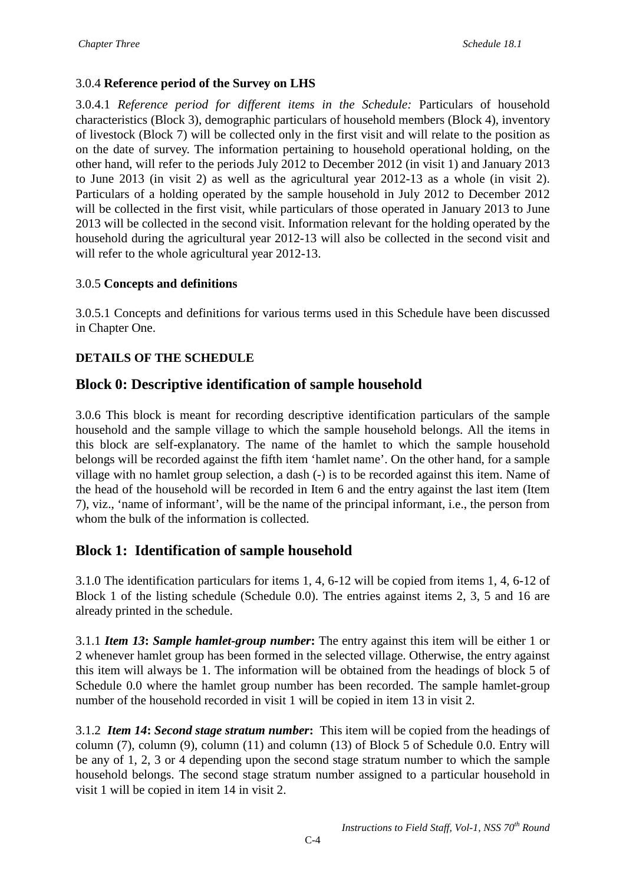# 3.0.4 **Reference period of the Survey on LHS**

3.0.4.1 *Reference period for different items in the Schedule:* Particulars of household characteristics (Block 3), demographic particulars of household members (Block 4), inventory of livestock (Block 7) will be collected only in the first visit and will relate to the position as on the date of survey. The information pertaining to household operational holding, on the other hand, will refer to the periods July 2012 to December 2012 (in visit 1) and January 2013 to June 2013 (in visit 2) as well as the agricultural year 2012-13 as a whole (in visit 2). Particulars of a holding operated by the sample household in July 2012 to December 2012 will be collected in the first visit, while particulars of those operated in January 2013 to June 2013 will be collected in the second visit. Information relevant for the holding operated by the household during the agricultural year 2012-13 will also be collected in the second visit and will refer to the whole agricultural year 2012-13.

## 3.0.5 **Concepts and definitions**

3.0.5.1 Concepts and definitions for various terms used in this Schedule have been discussed in Chapter One.

# **DETAILS OF THE SCHEDULE**

# **Block 0: Descriptive identification of sample household**

3.0.6 This block is meant for recording descriptive identification particulars of the sample household and the sample village to which the sample household belongs. All the items in this block are self-explanatory. The name of the hamlet to which the sample household belongs will be recorded against the fifth item 'hamlet name'. On the other hand, for a sample village with no hamlet group selection, a dash (-) is to be recorded against this item. Name of the head of the household will be recorded in Item 6 and the entry against the last item (Item 7), viz., 'name of informant', will be the name of the principal informant, i.e., the person from whom the bulk of the information is collected.

# **Block 1: Identification of sample household**

3.1.0 The identification particulars for items 1, 4, 6-12 will be copied from items 1, 4, 6-12 of Block 1 of the listing schedule (Schedule 0.0). The entries against items 2, 3, 5 and 16 are already printed in the schedule.

3.1.1 *Item 13***:** *Sample hamlet-group number***:** The entry against this item will be either 1 or 2 whenever hamlet group has been formed in the selected village. Otherwise, the entry against this item will always be 1. The information will be obtained from the headings of block 5 of Schedule 0.0 where the hamlet group number has been recorded. The sample hamlet-group number of the household recorded in visit 1 will be copied in item 13 in visit 2.

3.1.2*Item 14***:** *Second stage stratum number***:** This item will be copied from the headings of column (7), column (9), column (11) and column (13) of Block 5 of Schedule 0.0. Entry will be any of 1, 2, 3 or 4 depending upon the second stage stratum number to which the sample household belongs. The second stage stratum number assigned to a particular household in visit 1 will be copied in item 14 in visit 2.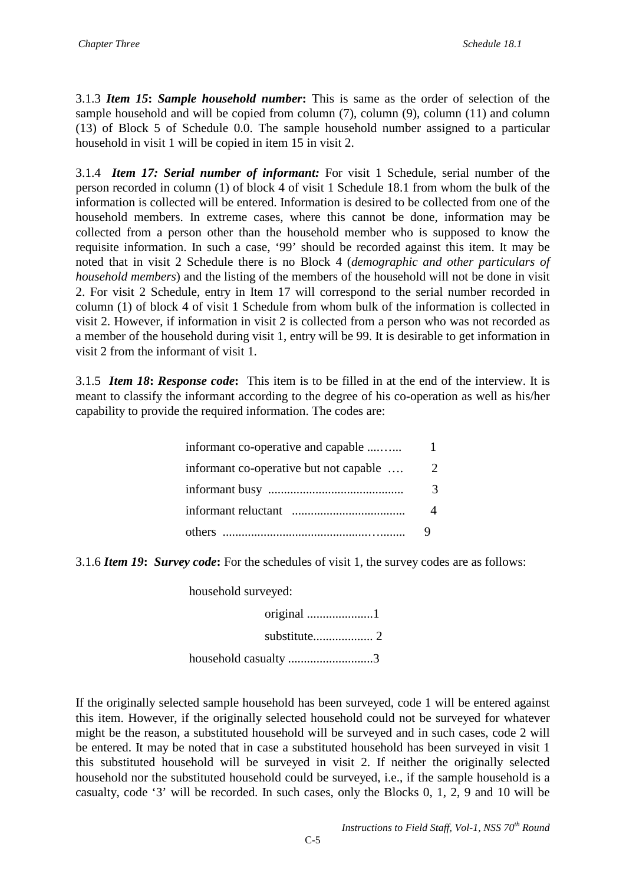3.1.3 *Item 15***:** *Sample household number***:** This is same as the order of selection of the sample household and will be copied from column (7), column (9), column (11) and column (13) of Block 5 of Schedule 0.0. The sample household number assigned to a particular household in visit 1 will be copied in item 15 in visit 2.

3.1.4 *Item 17: Serial number of informant:* For visit 1 Schedule, serial number of the person recorded in column (1) of block 4 of visit 1 Schedule 18.1 from whom the bulk of the information is collected will be entered. Information is desired to be collected from one of the household members. In extreme cases, where this cannot be done, information may be collected from a person other than the household member who is supposed to know the requisite information. In such a case, '99' should be recorded against this item. It may be noted that in visit 2 Schedule there is no Block 4 (*demographic and other particulars of household members*) and the listing of the members of the household will not be done in visit 2. For visit 2 Schedule, entry in Item 17 will correspond to the serial number recorded in column (1) of block 4 of visit 1 Schedule from whom bulk of the information is collected in visit 2. However, if information in visit 2 is collected from a person who was not recorded as a member of the household during visit 1, entry will be 99. It is desirable to get information in visit 2 from the informant of visit 1.

3.1.5*Item 18***:** *Response code***:** This item is to be filled in at the end of the interview. It is meant to classify the informant according to the degree of his co-operation as well as his/her capability to provide the required information. The codes are:

| informant co-operative and capable     |   |
|----------------------------------------|---|
| informant co-operative but not capable | 2 |
|                                        | 3 |
|                                        |   |
|                                        |   |

3.1.6 *Item 19***:** *Survey code***:** For the schedules of visit 1, the survey codes are as follows:

household surveyed:

original .....................1 substitute................... 2 household casualty ...........................3

If the originally selected sample household has been surveyed, code 1 will be entered against this item. However, if the originally selected household could not be surveyed for whatever might be the reason, a substituted household will be surveyed and in such cases, code 2 will be entered. It may be noted that in case a substituted household has been surveyed in visit 1 this substituted household will be surveyed in visit 2. If neither the originally selected household nor the substituted household could be surveyed, i.e., if the sample household is a casualty, code '3' will be recorded. In such cases, only the Blocks 0, 1, 2, 9 and 10 will be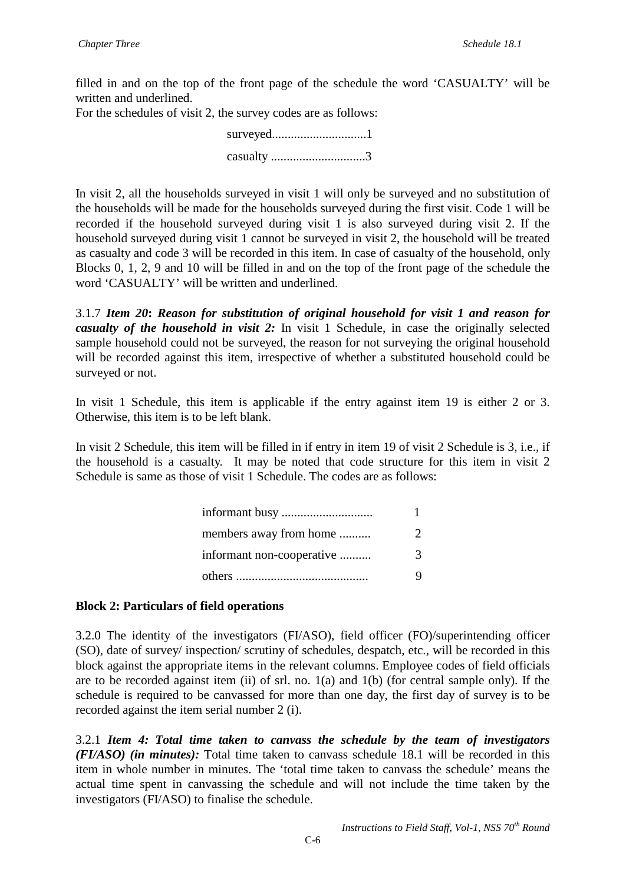filled in and on the top of the front page of the schedule the word 'CASUALTY' will be written and underlined.

For the schedules of visit 2, the survey codes are as follows:

| casualty 3 |  |
|------------|--|

In visit 2, all the households surveyed in visit 1 will only be surveyed and no substitution of the households will be made for the households surveyed during the first visit. Code 1 will be recorded if the household surveyed during visit 1 is also surveyed during visit 2. If the household surveyed during visit 1 cannot be surveyed in visit 2, the household will be treated as casualty and code 3 will be recorded in this item. In case of casualty of the household, only Blocks 0, 1, 2, 9 and 10 will be filled in and on the top of the front page of the schedule the word 'CASUALTY' will be written and underlined.

3.1.7 *Item 20***:** *Reason for substitution of original household for visit 1 and reason for casualty of the household in visit 2:* In visit 1 Schedule, in case the originally selected sample household could not be surveyed, the reason for not surveying the original household will be recorded against this item, irrespective of whether a substituted household could be surveyed or not.

In visit 1 Schedule, this item is applicable if the entry against item 19 is either 2 or 3. Otherwise, this item is to be left blank.

In visit 2 Schedule, this item will be filled in if entry in item 19 of visit 2 Schedule is 3, i.e., if the household is a casualty. It may be noted that code structure for this item in visit 2 Schedule is same as those of visit 1 Schedule. The codes are as follows:

| members away from home    | $\mathcal{D}_{\mathcal{L}}$ |
|---------------------------|-----------------------------|
| informant non-cooperative | 3                           |
|                           | 9                           |

### **Block 2: Particulars of field operations**

3.2.0 The identity of the investigators (FI/ASO), field officer (FO)/superintending officer (SO), date of survey/ inspection/ scrutiny of schedules, despatch, etc., will be recorded in this block against the appropriate items in the relevant columns. Employee codes of field officials are to be recorded against item (ii) of srl. no. 1(a) and 1(b) (for central sample only). If the schedule is required to be canvassed for more than one day, the first day of survey is to be recorded against the item serial number 2 (i).

3.2.1 *Item 4: Total time taken to canvass the schedule by the team of investigators (FI/ASO) (in minutes):* Total time taken to canvass schedule 18.1 will be recorded in this item in whole number in minutes. The 'total time taken to canvass the schedule' means the actual time spent in canvassing the schedule and will not include the time taken by the investigators (FI/ASO) to finalise the schedule.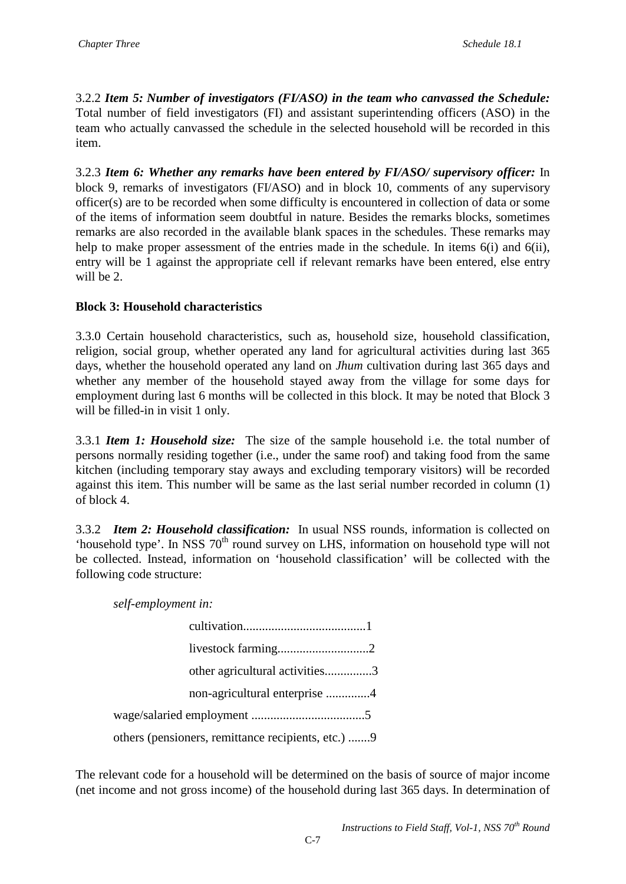3.2.2 *Item 5: Number of investigators (FI/ASO) in the team who canvassed the Schedule:*  Total number of field investigators (FI) and assistant superintending officers (ASO) in the team who actually canvassed the schedule in the selected household will be recorded in this item.

3.2.3 *Item 6: Whether any remarks have been entered by FI/ASO/ supervisory officer:* In block 9, remarks of investigators (FI/ASO) and in block 10, comments of any supervisory officer(s) are to be recorded when some difficulty is encountered in collection of data or some of the items of information seem doubtful in nature. Besides the remarks blocks, sometimes remarks are also recorded in the available blank spaces in the schedules. These remarks may help to make proper assessment of the entries made in the schedule. In items 6(i) and 6(ii), entry will be 1 against the appropriate cell if relevant remarks have been entered, else entry will be 2.

# **Block 3: Household characteristics**

3.3.0 Certain household characteristics, such as, household size, household classification, religion, social group, whether operated any land for agricultural activities during last 365 days, whether the household operated any land on *Jhum* cultivation during last 365 days and whether any member of the household stayed away from the village for some days for employment during last 6 months will be collected in this block. It may be noted that Block 3 will be filled-in in visit 1 only.

3.3.1 *Item 1: Household size:*The size of the sample household i.e. the total number of persons normally residing together (i.e., under the same roof) and taking food from the same kitchen (including temporary stay aways and excluding temporary visitors) will be recorded against this item. This number will be same as the last serial number recorded in column (1) of block 4.

3.3.2 *Item 2: Household classification:* In usual NSS rounds, information is collected on 'household type'. In NSS  $70<sup>th</sup>$  round survey on LHS, information on household type will not be collected. Instead, information on 'household classification' will be collected with the following code structure:

*self-employment in:* 

| other agricultural activities3                     |  |
|----------------------------------------------------|--|
| non-agricultural enterprise 4                      |  |
|                                                    |  |
| others (pensioners, remittance recipients, etc.) 9 |  |

The relevant code for a household will be determined on the basis of source of major income (net income and not gross income) of the household during last 365 days. In determination of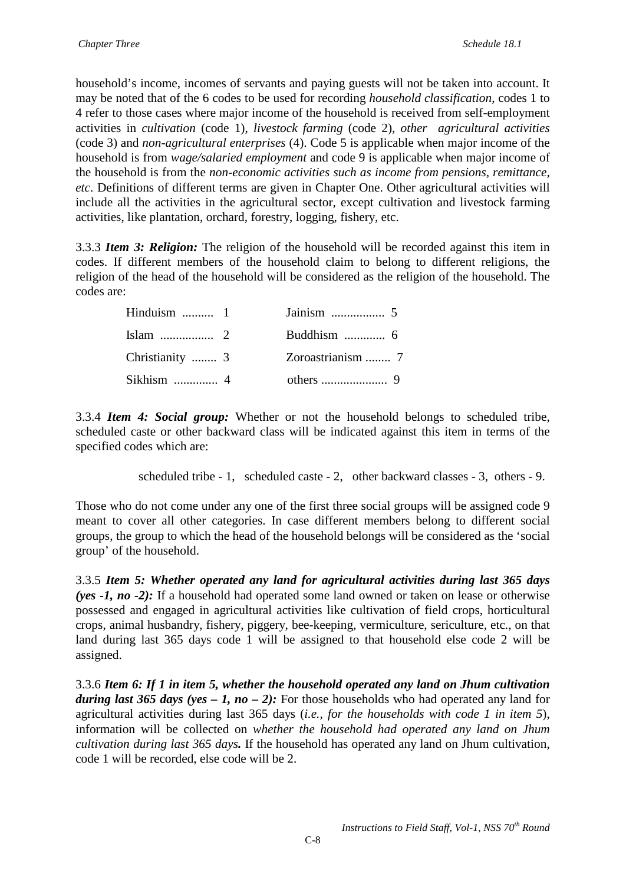household's income, incomes of servants and paying guests will not be taken into account. It may be noted that of the 6 codes to be used for recording *household classification*, codes 1 to 4 refer to those cases where major income of the household is received from self-employment activities in *cultivation* (code 1), *livestock farming* (code 2), *other agricultural activities* (code 3) and *non-agricultural enterprises* (4). Code 5 is applicable when major income of the household is from *wage/salaried employment* and code 9 is applicable when major income of the household is from the *non-economic activities such as income from pensions, remittance, etc*. Definitions of different terms are given in Chapter One. Other agricultural activities will include all the activities in the agricultural sector, except cultivation and livestock farming activities, like plantation, orchard, forestry, logging, fishery, etc.

3.3.3 *Item 3: Religion:* The religion of the household will be recorded against this item in codes. If different members of the household claim to belong to different religions, the religion of the head of the household will be considered as the religion of the household. The codes are:

| Hinduism $\dots$ 1 |                   |  |
|--------------------|-------------------|--|
|                    |                   |  |
| Christianity  3    | Zoroastrianism  7 |  |
|                    |                   |  |

3.3.4 *Item 4: Social group:* Whether or not the household belongs to scheduled tribe, scheduled caste or other backward class will be indicated against this item in terms of the specified codes which are:

scheduled tribe - 1, scheduled caste - 2, other backward classes - 3, others - 9.

Those who do not come under any one of the first three social groups will be assigned code 9 meant to cover all other categories. In case different members belong to different social groups, the group to which the head of the household belongs will be considered as the 'social group' of the household.

3.3.5 *Item 5: Whether operated any land for agricultural activities during last 365 days (yes -1, no -2):* If a household had operated some land owned or taken on lease or otherwise possessed and engaged in agricultural activities like cultivation of field crops, horticultural crops, animal husbandry, fishery, piggery, bee-keeping, vermiculture, sericulture, etc., on that land during last 365 days code 1 will be assigned to that household else code 2 will be assigned.

3.3.6 *Item 6: If 1 in item 5, whether the household operated any land on Jhum cultivation during last 365 days (yes – 1, no – 2):* For those households who had operated any land for agricultural activities during last 365 days (*i.e., for the households with code 1 in item 5*), information will be collected on *whether the household had operated any land on Jhum cultivation during last 365 days.* If the household has operated any land on Jhum cultivation, code 1 will be recorded, else code will be 2.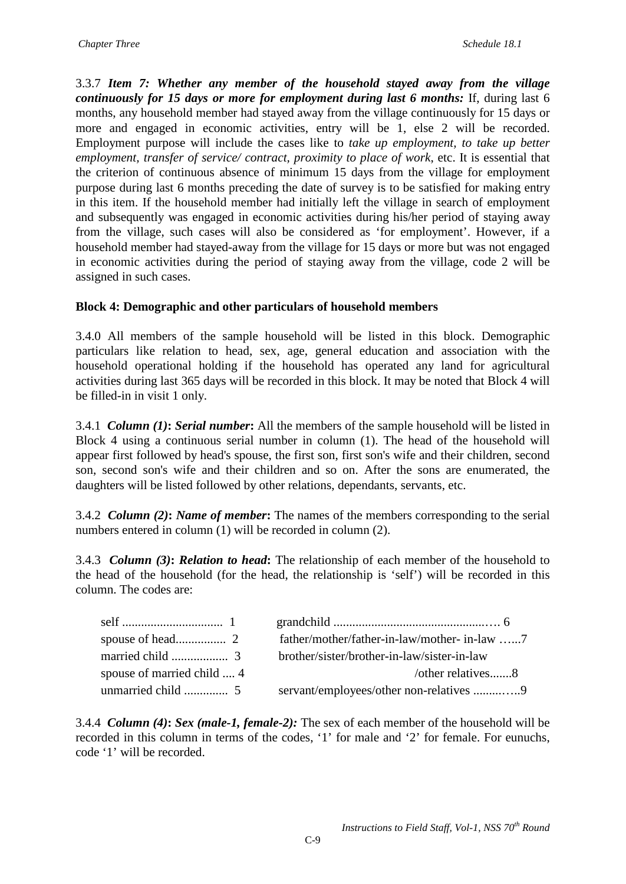3.3.7 *Item 7: Whether any member of the household stayed away from the village continuously for 15 days or more for employment during last 6 months:* If, during last 6 months, any household member had stayed away from the village continuously for 15 days or more and engaged in economic activities, entry will be 1, else 2 will be recorded. Employment purpose will include the cases like to *take up employment, to take up better employment, transfer of service/ contract, proximity to place of work*, etc. It is essential that the criterion of continuous absence of minimum 15 days from the village for employment purpose during last 6 months preceding the date of survey is to be satisfied for making entry in this item. If the household member had initially left the village in search of employment and subsequently was engaged in economic activities during his/her period of staying away from the village, such cases will also be considered as 'for employment'. However, if a household member had stayed-away from the village for 15 days or more but was not engaged in economic activities during the period of staying away from the village, code 2 will be assigned in such cases.

### **Block 4: Demographic and other particulars of household members**

3.4.0 All members of the sample household will be listed in this block. Demographic particulars like relation to head, sex, age, general education and association with the household operational holding if the household has operated any land for agricultural activities during last 365 days will be recorded in this block. It may be noted that Block 4 will be filled-in in visit 1 only.

3.4.1 *Column (1)***:** *Serial number***:** All the members of the sample household will be listed in Block 4 using a continuous serial number in column (1). The head of the household will appear first followed by head's spouse, the first son, first son's wife and their children, second son, second son's wife and their children and so on. After the sons are enumerated, the daughters will be listed followed by other relations, dependants, servants, etc.

3.4.2 *Column (2)***:** *Name of member***:** The names of the members corresponding to the serial numbers entered in column (1) will be recorded in column (2).

3.4.3 *Column (3)***:** *Relation to head***:** The relationship of each member of the household to the head of the household (for the head, the relationship is 'self') will be recorded in this column. The codes are:

|                            | father/mother/father-in-law/mother-in-law 7 |  |
|----------------------------|---------------------------------------------|--|
|                            | brother/sister/brother-in-law/sister-in-law |  |
| spouse of married child  4 | /other relatives8                           |  |
|                            | servant/employees/other non-relatives 9     |  |

3.4.4 *Column (4)***:** *Sex (male-1, female-2):* The sex of each member of the household will be recorded in this column in terms of the codes, '1' for male and '2' for female. For eunuchs, code '1' will be recorded.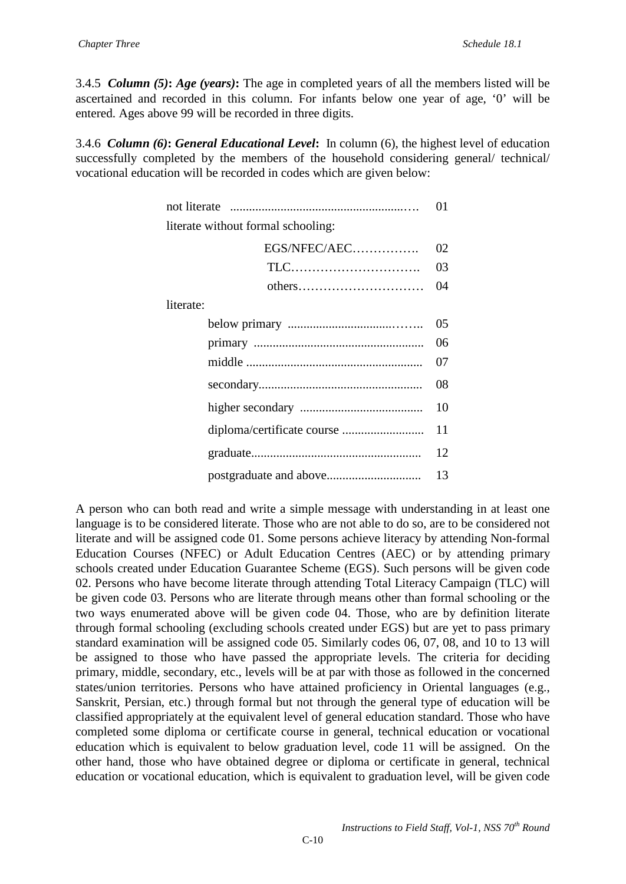3.4.5 *Column (5)***:** *Age (years)***:** The age in completed years of all the members listed will be ascertained and recorded in this column. For infants below one year of age, '0' will be entered. Ages above 99 will be recorded in three digits.

3.4.6 *Column (6)***:** *General Educational Level***:** In column (6), the highest level of education successfully completed by the members of the household considering general/ technical/ vocational education will be recorded in codes which are given below:

|                                    | 01 |
|------------------------------------|----|
| literate without formal schooling: |    |
| EGS/NFEC/AEC                       | 02 |
|                                    | 03 |
| others                             | 04 |
| literate:                          |    |
|                                    | 05 |
|                                    | 06 |
|                                    | 07 |
|                                    | 08 |
|                                    | 10 |
|                                    | 11 |
|                                    | 12 |
|                                    | 13 |

A person who can both read and write a simple message with understanding in at least one language is to be considered literate. Those who are not able to do so, are to be considered not literate and will be assigned code 01. Some persons achieve literacy by attending Non-formal Education Courses (NFEC) or Adult Education Centres (AEC) or by attending primary schools created under Education Guarantee Scheme (EGS). Such persons will be given code 02. Persons who have become literate through attending Total Literacy Campaign (TLC) will be given code 03. Persons who are literate through means other than formal schooling or the two ways enumerated above will be given code 04. Those, who are by definition literate through formal schooling (excluding schools created under EGS) but are yet to pass primary standard examination will be assigned code 05. Similarly codes 06, 07, 08, and 10 to 13 will be assigned to those who have passed the appropriate levels. The criteria for deciding primary, middle, secondary, etc., levels will be at par with those as followed in the concerned states/union territories. Persons who have attained proficiency in Oriental languages (e.g., Sanskrit, Persian, etc.) through formal but not through the general type of education will be classified appropriately at the equivalent level of general education standard. Those who have completed some diploma or certificate course in general, technical education or vocational education which is equivalent to below graduation level, code 11 will be assigned. On the other hand, those who have obtained degree or diploma or certificate in general, technical education or vocational education, which is equivalent to graduation level, will be given code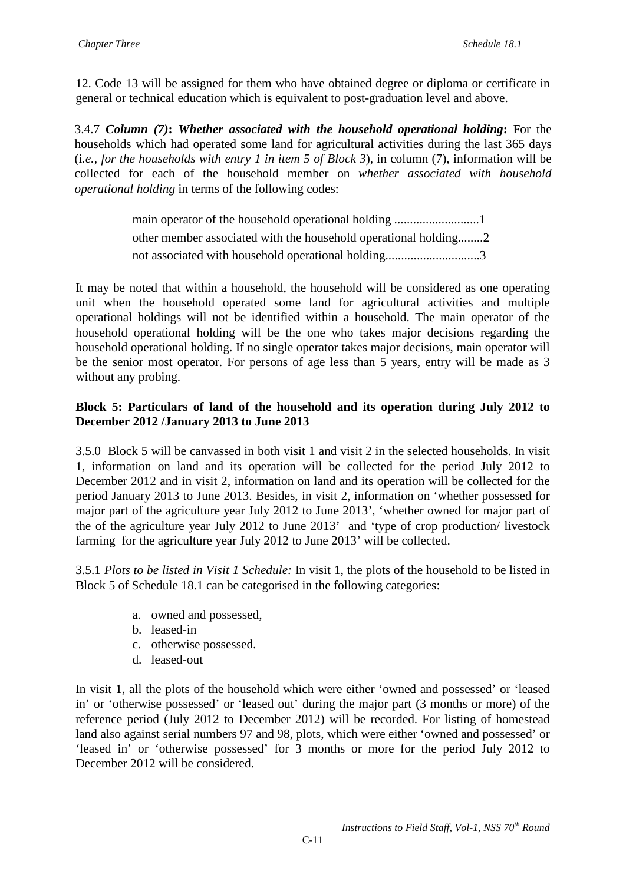12. Code 13 will be assigned for them who have obtained degree or diploma or certificate in general or technical education which is equivalent to post-graduation level and above.

3.4.7 *Column (7)***:** *Whether associated with the household operational holding***:** For the households which had operated some land for agricultural activities during the last 365 days (i*.e., for the households with entry 1 in item 5 of Block 3*), in column (7), information will be collected for each of the household member on *whether associated with household operational holding* in terms of the following codes:

> main operator of the household operational holding ...........................1 other member associated with the household operational holding........2 not associated with household operational holding..............................3

It may be noted that within a household, the household will be considered as one operating unit when the household operated some land for agricultural activities and multiple operational holdings will not be identified within a household. The main operator of the household operational holding will be the one who takes major decisions regarding the household operational holding. If no single operator takes major decisions, main operator will be the senior most operator. For persons of age less than 5 years, entry will be made as 3 without any probing.

### **Block 5: Particulars of land of the household and its operation during July 2012 to December 2012 /January 2013 to June 2013**

3.5.0 Block 5 will be canvassed in both visit 1 and visit 2 in the selected households. In visit 1, information on land and its operation will be collected for the period July 2012 to December 2012 and in visit 2, information on land and its operation will be collected for the period January 2013 to June 2013. Besides, in visit 2, information on 'whether possessed for major part of the agriculture year July 2012 to June 2013', 'whether owned for major part of the of the agriculture year July 2012 to June 2013' and 'type of crop production/ livestock farming for the agriculture year July 2012 to June 2013' will be collected.

3.5.1 *Plots to be listed in Visit 1 Schedule:* In visit 1, the plots of the household to be listed in Block 5 of Schedule 18.1 can be categorised in the following categories:

- a. owned and possessed,
- b. leased-in
- c. otherwise possessed.
- d. leased-out

In visit 1, all the plots of the household which were either 'owned and possessed' or 'leased in' or 'otherwise possessed' or 'leased out' during the major part (3 months or more) of the reference period (July 2012 to December 2012) will be recorded. For listing of homestead land also against serial numbers 97 and 98, plots, which were either 'owned and possessed' or 'leased in' or 'otherwise possessed' for 3 months or more for the period July 2012 to December 2012 will be considered.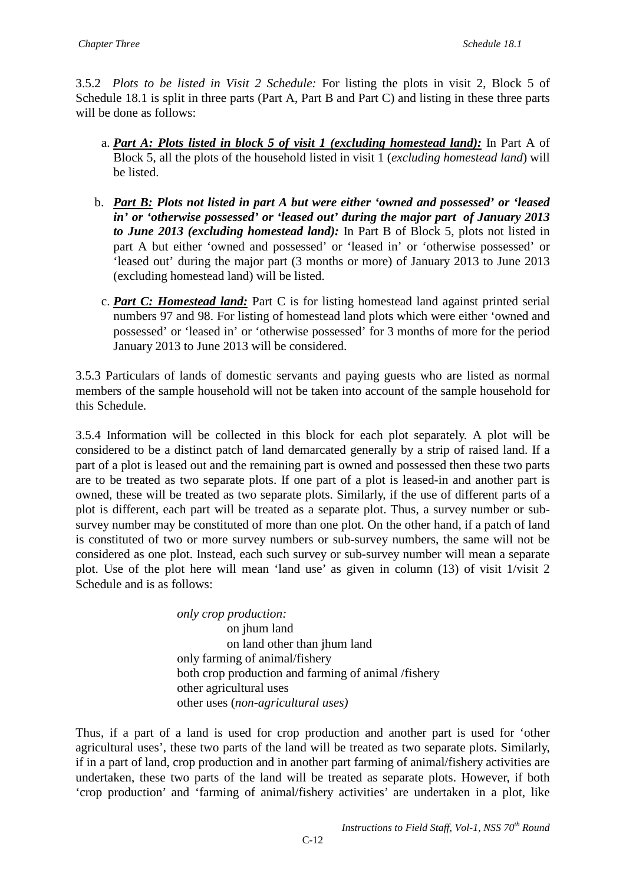3.5.2 *Plots to be listed in Visit 2 Schedule:* For listing the plots in visit 2, Block 5 of Schedule 18.1 is split in three parts (Part A, Part B and Part C) and listing in these three parts will be done as follows:

- a. *Part A: Plots listed in block 5 of visit 1 (excluding homestead land):* In Part A of Block 5, all the plots of the household listed in visit 1 (*excluding homestead land*) will be listed.
- b. *Part B: Plots not listed in part A but were either 'owned and possessed' or 'leased in' or 'otherwise possessed' or 'leased out' during the major part of January 2013 to June 2013 (excluding homestead land):* In Part B of Block 5, plots not listed in part A but either 'owned and possessed' or 'leased in' or 'otherwise possessed' or 'leased out' during the major part (3 months or more) of January 2013 to June 2013 (excluding homestead land) will be listed.
- c. *Part C: Homestead land:* Part C is for listing homestead land against printed serial numbers 97 and 98. For listing of homestead land plots which were either 'owned and possessed' or 'leased in' or 'otherwise possessed' for 3 months of more for the period January 2013 to June 2013 will be considered.

3.5.3 Particulars of lands of domestic servants and paying guests who are listed as normal members of the sample household will not be taken into account of the sample household for this Schedule.

3.5.4 Information will be collected in this block for each plot separately. A plot will be considered to be a distinct patch of land demarcated generally by a strip of raised land. If a part of a plot is leased out and the remaining part is owned and possessed then these two parts are to be treated as two separate plots. If one part of a plot is leased-in and another part is owned, these will be treated as two separate plots. Similarly, if the use of different parts of a plot is different, each part will be treated as a separate plot. Thus, a survey number or subsurvey number may be constituted of more than one plot. On the other hand, if a patch of land is constituted of two or more survey numbers or sub-survey numbers, the same will not be considered as one plot. Instead, each such survey or sub-survey number will mean a separate plot. Use of the plot here will mean 'land use' as given in column (13) of visit 1/visit 2 Schedule and is as follows:

> *only crop production:* on jhum land on land other than jhum land only farming of animal/fishery both crop production and farming of animal /fishery other agricultural uses other uses (*non-agricultural uses)*

Thus, if a part of a land is used for crop production and another part is used for 'other agricultural uses', these two parts of the land will be treated as two separate plots. Similarly, if in a part of land, crop production and in another part farming of animal/fishery activities are undertaken, these two parts of the land will be treated as separate plots. However, if both 'crop production' and 'farming of animal/fishery activities' are undertaken in a plot, like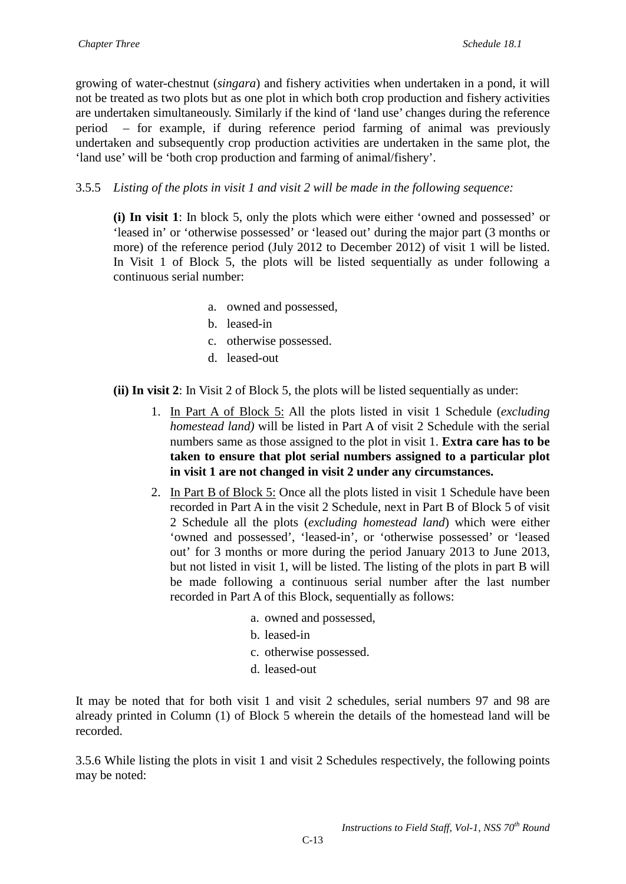growing of water-chestnut (*singara*) and fishery activities when undertaken in a pond, it will not be treated as two plots but as one plot in which both crop production and fishery activities are undertaken simultaneously. Similarly if the kind of 'land use' changes during the reference period – for example, if during reference period farming of animal was previously undertaken and subsequently crop production activities are undertaken in the same plot, the 'land use' will be 'both crop production and farming of animal/fishery'.

3.5.5 *Listing of the plots in visit 1 and visit 2 will be made in the following sequence:*

**(i) In visit 1**: In block 5, only the plots which were either 'owned and possessed' or 'leased in' or 'otherwise possessed' or 'leased out' during the major part (3 months or more) of the reference period (July 2012 to December 2012) of visit 1 will be listed. In Visit 1 of Block 5, the plots will be listed sequentially as under following a continuous serial number:

- a. owned and possessed,
- b. leased-in
- c. otherwise possessed.
- d. leased-out

**(ii) In visit 2**: In Visit 2 of Block 5, the plots will be listed sequentially as under:

- 1. In Part A of Block 5: All the plots listed in visit 1 Schedule (*excluding homestead land)* will be listed in Part A of visit 2 Schedule with the serial numbers same as those assigned to the plot in visit 1. **Extra care has to be taken to ensure that plot serial numbers assigned to a particular plot in visit 1 are not changed in visit 2 under any circumstances.**
- 2. In Part B of Block 5: Once all the plots listed in visit 1 Schedule have been recorded in Part A in the visit 2 Schedule, next in Part B of Block 5 of visit 2 Schedule all the plots (*excluding homestead land*) which were either 'owned and possessed', 'leased-in', or 'otherwise possessed' or 'leased out' for 3 months or more during the period January 2013 to June 2013, but not listed in visit 1, will be listed. The listing of the plots in part B will be made following a continuous serial number after the last number recorded in Part A of this Block, sequentially as follows:
	- a. owned and possessed,
	- b. leased-in
	- c. otherwise possessed.
	- d. leased-out

It may be noted that for both visit 1 and visit 2 schedules, serial numbers 97 and 98 are already printed in Column (1) of Block 5 wherein the details of the homestead land will be recorded.

3.5.6 While listing the plots in visit 1 and visit 2 Schedules respectively, the following points may be noted: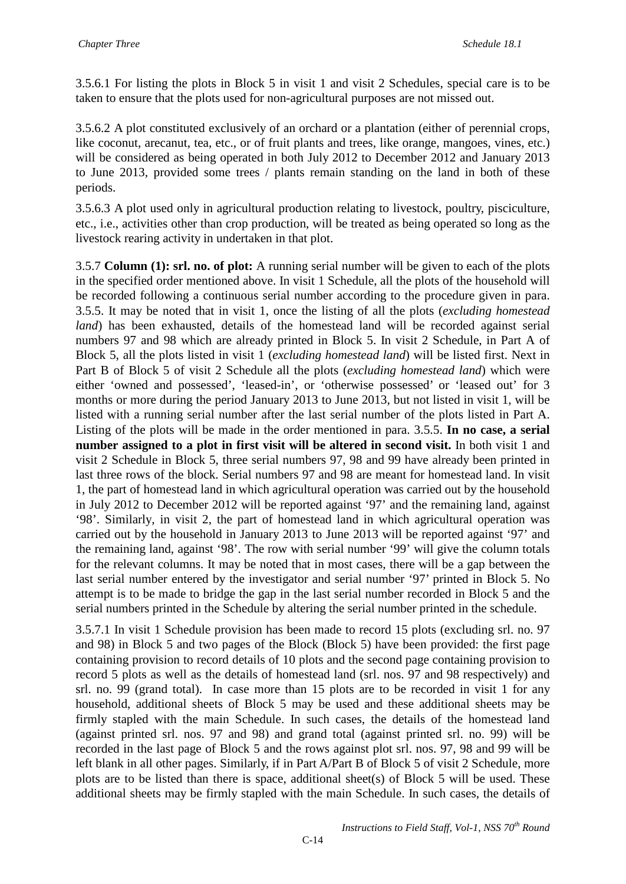3.5.6.1 For listing the plots in Block 5 in visit 1 and visit 2 Schedules, special care is to be taken to ensure that the plots used for non-agricultural purposes are not missed out.

3.5.6.2 A plot constituted exclusively of an orchard or a plantation (either of perennial crops, like coconut, arecanut, tea, etc., or of fruit plants and trees, like orange, mangoes, vines, etc.) will be considered as being operated in both July 2012 to December 2012 and January 2013 to June 2013, provided some trees / plants remain standing on the land in both of these periods.

3.5.6.3 A plot used only in agricultural production relating to livestock, poultry, pisciculture, etc., i.e., activities other than crop production, will be treated as being operated so long as the livestock rearing activity in undertaken in that plot.

3.5.7 **Column (1): srl. no. of plot:** A running serial number will be given to each of the plots in the specified order mentioned above. In visit 1 Schedule, all the plots of the household will be recorded following a continuous serial number according to the procedure given in para. 3.5.5. It may be noted that in visit 1, once the listing of all the plots (*excluding homestead land*) has been exhausted, details of the homestead land will be recorded against serial numbers 97 and 98 which are already printed in Block 5. In visit 2 Schedule, in Part A of Block 5, all the plots listed in visit 1 (*excluding homestead land*) will be listed first. Next in Part B of Block 5 of visit 2 Schedule all the plots (*excluding homestead land*) which were either 'owned and possessed', 'leased-in', or 'otherwise possessed' or 'leased out' for 3 months or more during the period January 2013 to June 2013, but not listed in visit 1, will be listed with a running serial number after the last serial number of the plots listed in Part A. Listing of the plots will be made in the order mentioned in para. 3.5.5. **In no case, a serial number assigned to a plot in first visit will be altered in second visit.** In both visit 1 and visit 2 Schedule in Block 5, three serial numbers 97, 98 and 99 have already been printed in last three rows of the block. Serial numbers 97 and 98 are meant for homestead land. In visit 1, the part of homestead land in which agricultural operation was carried out by the household in July 2012 to December 2012 will be reported against '97' and the remaining land, against '98'. Similarly, in visit 2, the part of homestead land in which agricultural operation was carried out by the household in January 2013 to June 2013 will be reported against '97' and the remaining land, against '98'. The row with serial number '99' will give the column totals for the relevant columns. It may be noted that in most cases, there will be a gap between the last serial number entered by the investigator and serial number '97' printed in Block 5. No attempt is to be made to bridge the gap in the last serial number recorded in Block 5 and the serial numbers printed in the Schedule by altering the serial number printed in the schedule.

3.5.7.1 In visit 1 Schedule provision has been made to record 15 plots (excluding srl. no. 97 and 98) in Block 5 and two pages of the Block (Block 5) have been provided: the first page containing provision to record details of 10 plots and the second page containing provision to record 5 plots as well as the details of homestead land (srl. nos. 97 and 98 respectively) and srl. no. 99 (grand total). In case more than 15 plots are to be recorded in visit 1 for any household, additional sheets of Block 5 may be used and these additional sheets may be firmly stapled with the main Schedule. In such cases, the details of the homestead land (against printed srl. nos. 97 and 98) and grand total (against printed srl. no. 99) will be recorded in the last page of Block 5 and the rows against plot srl. nos. 97, 98 and 99 will be left blank in all other pages. Similarly, if in Part A/Part B of Block 5 of visit 2 Schedule, more plots are to be listed than there is space, additional sheet(s) of Block 5 will be used. These additional sheets may be firmly stapled with the main Schedule. In such cases, the details of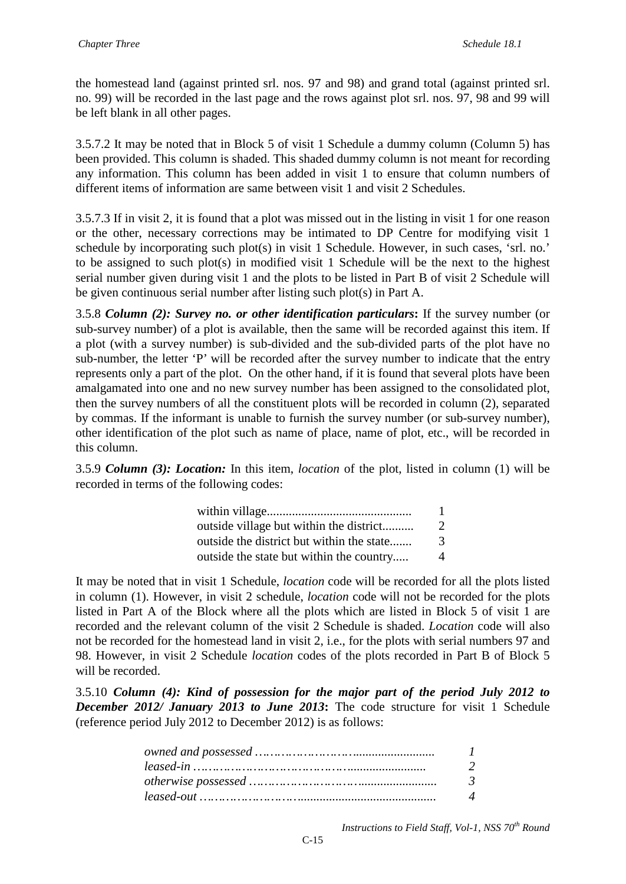the homestead land (against printed srl. nos. 97 and 98) and grand total (against printed srl. no. 99) will be recorded in the last page and the rows against plot srl. nos. 97, 98 and 99 will be left blank in all other pages.

3.5.7.2 It may be noted that in Block 5 of visit 1 Schedule a dummy column (Column 5) has been provided. This column is shaded. This shaded dummy column is not meant for recording any information. This column has been added in visit 1 to ensure that column numbers of different items of information are same between visit 1 and visit 2 Schedules.

3.5.7.3 If in visit 2, it is found that a plot was missed out in the listing in visit 1 for one reason or the other, necessary corrections may be intimated to DP Centre for modifying visit 1 schedule by incorporating such plot(s) in visit 1 Schedule. However, in such cases, 'srl. no.' to be assigned to such plot(s) in modified visit 1 Schedule will be the next to the highest serial number given during visit 1 and the plots to be listed in Part B of visit 2 Schedule will be given continuous serial number after listing such plot(s) in Part A.

3.5.8 *Column (2): Survey no. or other identification particulars***:** If the survey number (or sub-survey number) of a plot is available, then the same will be recorded against this item. If a plot (with a survey number) is sub-divided and the sub-divided parts of the plot have no sub-number, the letter 'P' will be recorded after the survey number to indicate that the entry represents only a part of the plot. On the other hand, if it is found that several plots have been amalgamated into one and no new survey number has been assigned to the consolidated plot, then the survey numbers of all the constituent plots will be recorded in column (2), separated by commas. If the informant is unable to furnish the survey number (or sub-survey number), other identification of the plot such as name of place, name of plot, etc., will be recorded in this column.

3.5.9 *Column (3): Location:* In this item, *location* of the plot, listed in column (1) will be recorded in terms of the following codes:

| outside village but within the district   | 2 |
|-------------------------------------------|---|
| outside the district but within the state | 3 |
| outside the state but within the country  | 4 |

It may be noted that in visit 1 Schedule, *location* code will be recorded for all the plots listed in column (1). However, in visit 2 schedule, *location* code will not be recorded for the plots listed in Part A of the Block where all the plots which are listed in Block 5 of visit 1 are recorded and the relevant column of the visit 2 Schedule is shaded. *Location* code will also not be recorded for the homestead land in visit 2, i.e., for the plots with serial numbers 97 and 98. However, in visit 2 Schedule *location* codes of the plots recorded in Part B of Block 5 will be recorded.

3.5.10 *Column (4): Kind of possession for the major part of the period July 2012 to December 2012/ January 2013 to June 2013***:** The code structure for visit 1 Schedule (reference period July 2012 to December 2012) is as follows:

| $\overline{1}$           |
|--------------------------|
| $\overline{\phantom{a}}$ |
| -3                       |
| $\boldsymbol{\varDelta}$ |

*Instructions to Field Staff, Vol-1, NSS 70th Round*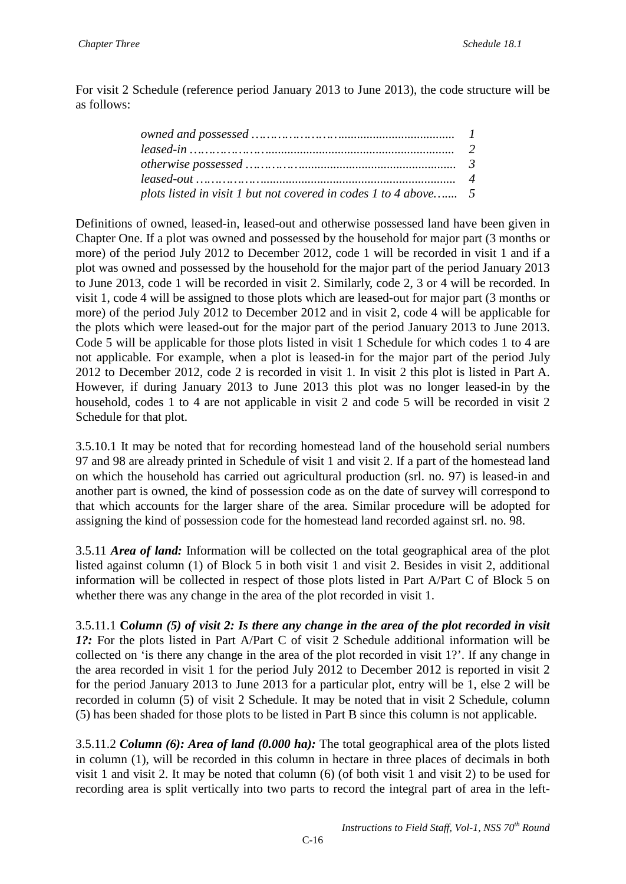For visit 2 Schedule (reference period January 2013 to June 2013), the code structure will be as follows:

| plots listed in visit 1 but not covered in codes 1 to 4 above 5 |  |
|-----------------------------------------------------------------|--|

Definitions of owned, leased-in, leased-out and otherwise possessed land have been given in Chapter One. If a plot was owned and possessed by the household for major part (3 months or more) of the period July 2012 to December 2012, code 1 will be recorded in visit 1 and if a plot was owned and possessed by the household for the major part of the period January 2013 to June 2013, code 1 will be recorded in visit 2. Similarly, code 2, 3 or 4 will be recorded. In visit 1, code 4 will be assigned to those plots which are leased-out for major part (3 months or more) of the period July 2012 to December 2012 and in visit 2, code 4 will be applicable for the plots which were leased-out for the major part of the period January 2013 to June 2013. Code 5 will be applicable for those plots listed in visit 1 Schedule for which codes 1 to 4 are not applicable. For example, when a plot is leased-in for the major part of the period July 2012 to December 2012, code 2 is recorded in visit 1. In visit 2 this plot is listed in Part A. However, if during January 2013 to June 2013 this plot was no longer leased-in by the household, codes 1 to 4 are not applicable in visit 2 and code 5 will be recorded in visit 2 Schedule for that plot.

3.5.10.1 It may be noted that for recording homestead land of the household serial numbers 97 and 98 are already printed in Schedule of visit 1 and visit 2. If a part of the homestead land on which the household has carried out agricultural production (srl. no. 97) is leased-in and another part is owned, the kind of possession code as on the date of survey will correspond to that which accounts for the larger share of the area. Similar procedure will be adopted for assigning the kind of possession code for the homestead land recorded against srl. no. 98.

3.5.11 *Area of land:* Information will be collected on the total geographical area of the plot listed against column (1) of Block 5 in both visit 1 and visit 2. Besides in visit 2, additional information will be collected in respect of those plots listed in Part A/Part C of Block 5 on whether there was any change in the area of the plot recorded in visit 1.

3.5.11.1 **C***olumn (5) of visit 2: Is there any change in the area of the plot recorded in visit 1?:* For the plots listed in Part A/Part C of visit 2 Schedule additional information will be collected on 'is there any change in the area of the plot recorded in visit 1?'. If any change in the area recorded in visit 1 for the period July 2012 to December 2012 is reported in visit 2 for the period January 2013 to June 2013 for a particular plot, entry will be 1, else 2 will be recorded in column (5) of visit 2 Schedule. It may be noted that in visit 2 Schedule, column (5) has been shaded for those plots to be listed in Part B since this column is not applicable.

3.5.11.2 *Column (6): Area of land (0.000 ha):* The total geographical area of the plots listed in column (1), will be recorded in this column in hectare in three places of decimals in both visit 1 and visit 2. It may be noted that column (6) (of both visit 1 and visit 2) to be used for recording area is split vertically into two parts to record the integral part of area in the left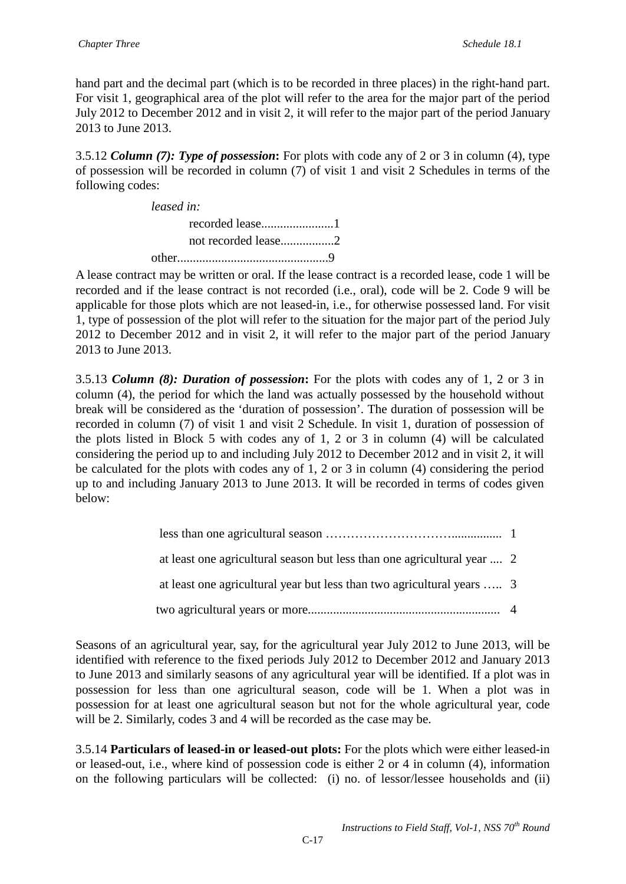hand part and the decimal part (which is to be recorded in three places) in the right-hand part. For visit 1, geographical area of the plot will refer to the area for the major part of the period July 2012 to December 2012 and in visit 2, it will refer to the major part of the period January 2013 to June 2013.

3.5.12 *Column (7): Type of possession***:** For plots with code any of 2 or 3 in column (4), type of possession will be recorded in column (7) of visit 1 and visit 2 Schedules in terms of the following codes:

| leased in: |  |
|------------|--|
|            |  |
|            |  |
|            |  |

A lease contract may be written or oral. If the lease contract is a recorded lease, code 1 will be recorded and if the lease contract is not recorded (i.e., oral), code will be 2. Code 9 will be applicable for those plots which are not leased-in, i.e., for otherwise possessed land. For visit 1, type of possession of the plot will refer to the situation for the major part of the period July 2012 to December 2012 and in visit 2, it will refer to the major part of the period January 2013 to June 2013.

3.5.13 *Column (8): Duration of possession***:** For the plots with codes any of 1, 2 or 3 in column (4), the period for which the land was actually possessed by the household without break will be considered as the 'duration of possession'. The duration of possession will be recorded in column (7) of visit 1 and visit 2 Schedule. In visit 1, duration of possession of the plots listed in Block 5 with codes any of 1, 2 or 3 in column (4) will be calculated considering the period up to and including July 2012 to December 2012 and in visit 2, it will be calculated for the plots with codes any of 1, 2 or 3 in column (4) considering the period up to and including January 2013 to June 2013. It will be recorded in terms of codes given below:

| at least one agricultural season but less than one agricultural year  2 |  |
|-------------------------------------------------------------------------|--|
| at least one agricultural year but less than two agricultural years  3  |  |
|                                                                         |  |

Seasons of an agricultural year, say, for the agricultural year July 2012 to June 2013, will be identified with reference to the fixed periods July 2012 to December 2012 and January 2013 to June 2013 and similarly seasons of any agricultural year will be identified. If a plot was in possession for less than one agricultural season, code will be 1. When a plot was in possession for at least one agricultural season but not for the whole agricultural year, code will be 2. Similarly, codes 3 and 4 will be recorded as the case may be.

3.5.14 **Particulars of leased-in or leased-out plots:** For the plots which were either leased-in or leased-out, i.e., where kind of possession code is either 2 or 4 in column (4), information on the following particulars will be collected: (i) no. of lessor/lessee households and (ii)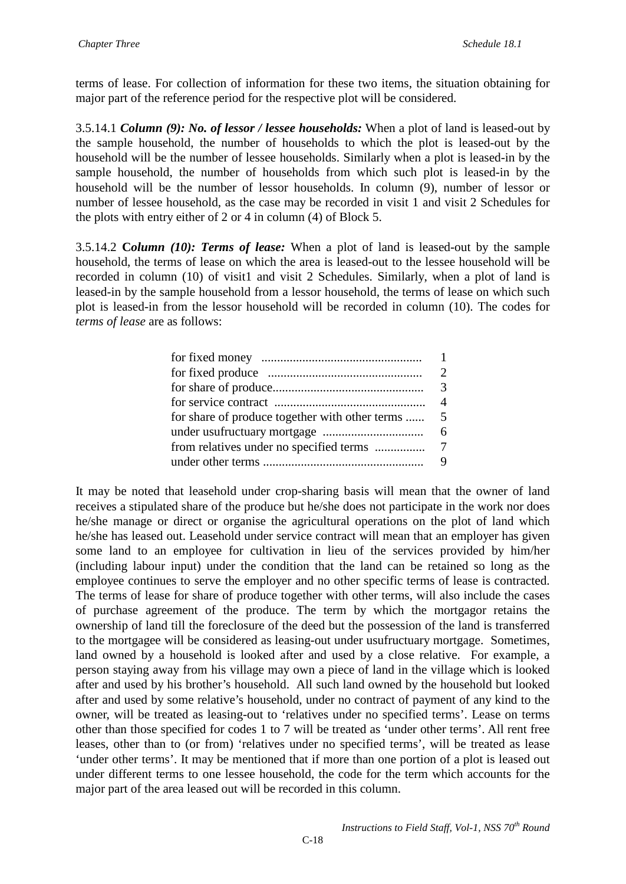terms of lease. For collection of information for these two items, the situation obtaining for major part of the reference period for the respective plot will be considered.

3.5.14.1 *Column (9): No. of lessor / lessee households:* When a plot of land is leased-out by the sample household, the number of households to which the plot is leased-out by the household will be the number of lessee households. Similarly when a plot is leased-in by the sample household, the number of households from which such plot is leased-in by the household will be the number of lessor households. In column (9), number of lessor or number of lessee household, as the case may be recorded in visit 1 and visit 2 Schedules for the plots with entry either of 2 or 4 in column (4) of Block 5.

3.5.14.2 **C***olumn (10): Terms of lease:* When a plot of land is leased-out by the sample household, the terms of lease on which the area is leased-out to the lessee household will be recorded in column (10) of visit1 and visit 2 Schedules. Similarly, when a plot of land is leased-in by the sample household from a lessor household, the terms of lease on which such plot is leased-in from the lessor household will be recorded in column (10). The codes for *terms of lease* are as follows:

|                                                   | 4 |
|---------------------------------------------------|---|
| for share of produce together with other terms  5 |   |
|                                                   | 6 |
|                                                   |   |
|                                                   | Q |
|                                                   |   |

It may be noted that leasehold under crop-sharing basis will mean that the owner of land receives a stipulated share of the produce but he/she does not participate in the work nor does he/she manage or direct or organise the agricultural operations on the plot of land which he/she has leased out. Leasehold under service contract will mean that an employer has given some land to an employee for cultivation in lieu of the services provided by him/her (including labour input) under the condition that the land can be retained so long as the employee continues to serve the employer and no other specific terms of lease is contracted. The terms of lease for share of produce together with other terms, will also include the cases of purchase agreement of the produce. The term by which the mortgagor retains the ownership of land till the foreclosure of the deed but the possession of the land is transferred to the mortgagee will be considered as leasing-out under usufructuary mortgage. Sometimes, land owned by a household is looked after and used by a close relative. For example, a person staying away from his village may own a piece of land in the village which is looked after and used by his brother's household. All such land owned by the household but looked after and used by some relative's household, under no contract of payment of any kind to the owner, will be treated as leasing-out to 'relatives under no specified terms'. Lease on terms other than those specified for codes 1 to 7 will be treated as 'under other terms'. All rent free leases, other than to (or from) 'relatives under no specified terms', will be treated as lease 'under other terms'. It may be mentioned that if more than one portion of a plot is leased out under different terms to one lessee household, the code for the term which accounts for the major part of the area leased out will be recorded in this column.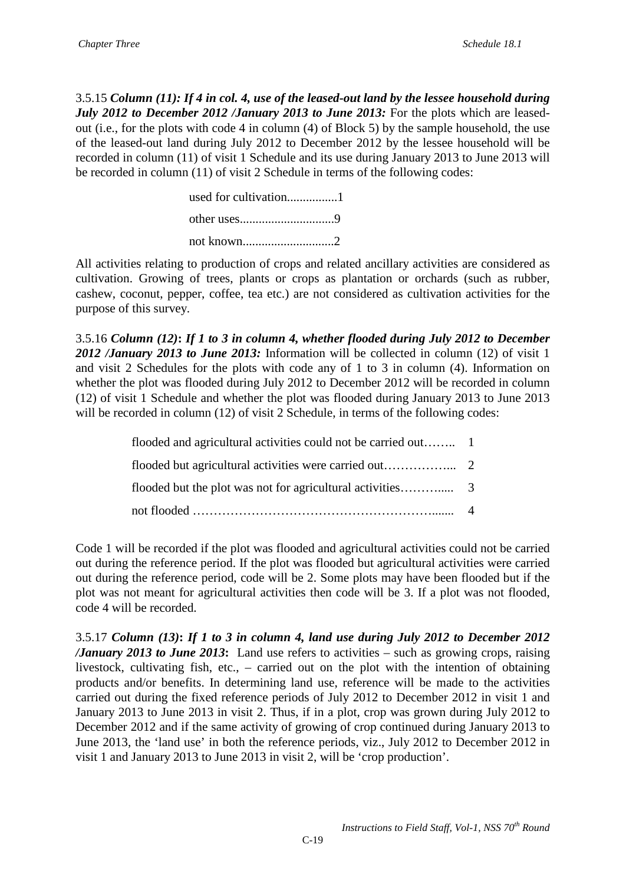3.5.15 *Column (11): If 4 in col. 4, use of the leased-out land by the lessee household during July 2012 to December 2012 /January 2013 to June 2013:* For the plots which are leasedout (i.e., for the plots with code 4 in column (4) of Block 5) by the sample household, the use of the leased-out land during July 2012 to December 2012 by the lessee household will be recorded in column (11) of visit 1 Schedule and its use during January 2013 to June 2013 will be recorded in column (11) of visit 2 Schedule in terms of the following codes:

> used for cultivation................1 other uses..............................9 not known.............................2

All activities relating to production of crops and related ancillary activities are considered as cultivation. Growing of trees, plants or crops as plantation or orchards (such as rubber, cashew, coconut, pepper, coffee, tea etc.) are not considered as cultivation activities for the purpose of this survey.

3.5.16 *Column (12)***:** *If 1 to 3 in column 4, whether flooded during July 2012 to December 2012 /January 2013 to June 2013:* Information will be collected in column (12) of visit 1 and visit 2 Schedules for the plots with code any of 1 to 3 in column (4). Information on whether the plot was flooded during July 2012 to December 2012 will be recorded in column (12) of visit 1 Schedule and whether the plot was flooded during January 2013 to June 2013 will be recorded in column (12) of visit 2 Schedule, in terms of the following codes:

Code 1 will be recorded if the plot was flooded and agricultural activities could not be carried out during the reference period. If the plot was flooded but agricultural activities were carried out during the reference period, code will be 2. Some plots may have been flooded but if the plot was not meant for agricultural activities then code will be 3. If a plot was not flooded, code 4 will be recorded.

3.5.17 *Column (13)***:** *If 1 to 3 in column 4, land use during July 2012 to December 2012 /January 2013 to June 2013***:** Land use refers to activities – such as growing crops, raising livestock, cultivating fish, etc., – carried out on the plot with the intention of obtaining products and/or benefits. In determining land use, reference will be made to the activities carried out during the fixed reference periods of July 2012 to December 2012 in visit 1 and January 2013 to June 2013 in visit 2. Thus, if in a plot, crop was grown during July 2012 to December 2012 and if the same activity of growing of crop continued during January 2013 to June 2013, the 'land use' in both the reference periods, viz., July 2012 to December 2012 in visit 1 and January 2013 to June 2013 in visit 2, will be 'crop production'.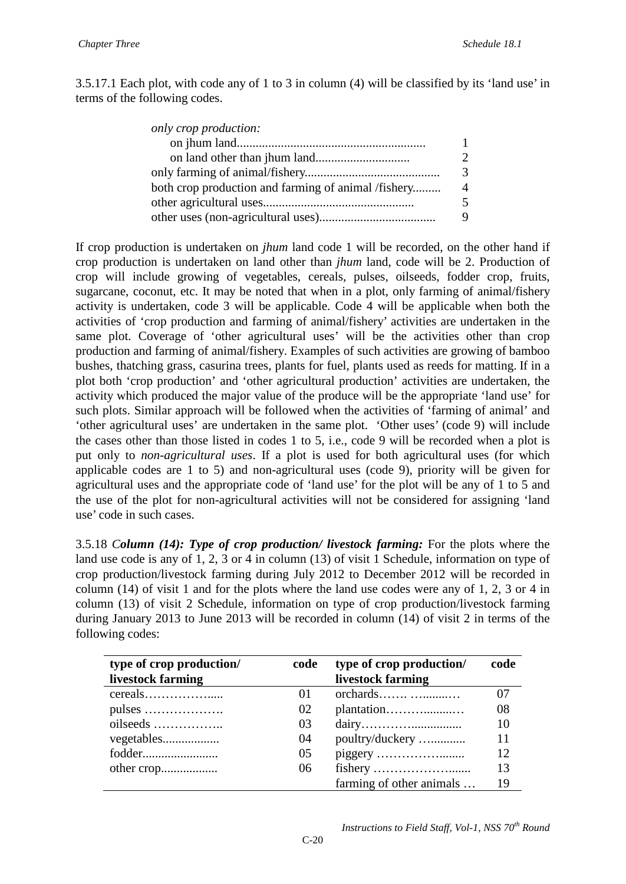3.5.17.1 Each plot, with code any of 1 to 3 in column (4) will be classified by its 'land use' in terms of the following codes.

| only crop production:                               |               |
|-----------------------------------------------------|---------------|
|                                                     | 1             |
|                                                     | $\mathcal{D}$ |
|                                                     | 3             |
| both crop production and farming of animal /fishery | $\Delta$      |
|                                                     | 5             |
|                                                     | 9             |
|                                                     |               |

If crop production is undertaken on *jhum* land code 1 will be recorded, on the other hand if crop production is undertaken on land other than *jhum* land, code will be 2. Production of crop will include growing of vegetables, cereals, pulses, oilseeds, fodder crop, fruits, sugarcane, coconut, etc. It may be noted that when in a plot, only farming of animal/fishery activity is undertaken, code 3 will be applicable. Code 4 will be applicable when both the activities of 'crop production and farming of animal/fishery' activities are undertaken in the same plot. Coverage of 'other agricultural uses' will be the activities other than crop production and farming of animal/fishery. Examples of such activities are growing of bamboo bushes, thatching grass, casurina trees, plants for fuel, plants used as reeds for matting. If in a plot both 'crop production' and 'other agricultural production' activities are undertaken, the activity which produced the major value of the produce will be the appropriate 'land use' for such plots. Similar approach will be followed when the activities of 'farming of animal' and 'other agricultural uses' are undertaken in the same plot. 'Other uses' (code 9) will include the cases other than those listed in codes 1 to 5, i.e., code 9 will be recorded when a plot is put only to *non-agricultural uses*. If a plot is used for both agricultural uses (for which applicable codes are 1 to 5) and non-agricultural uses (code 9), priority will be given for agricultural uses and the appropriate code of 'land use' for the plot will be any of 1 to 5 and the use of the plot for non-agricultural activities will not be considered for assigning 'land use' code in such cases.

3.5.18 *Column (14): Type of crop production/ livestock farming:* For the plots where the land use code is any of 1, 2, 3 or 4 in column (13) of visit 1 Schedule, information on type of crop production/livestock farming during July 2012 to December 2012 will be recorded in column (14) of visit 1 and for the plots where the land use codes were any of 1, 2, 3 or 4 in column (13) of visit 2 Schedule, information on type of crop production/livestock farming during January 2013 to June 2013 will be recorded in column (14) of visit 2 in terms of the following codes:

| type of crop production/ | code | type of crop production/ | code |
|--------------------------|------|--------------------------|------|
| livestock farming        |      | livestock farming        |      |
|                          | 01   | orchards                 | 07   |
|                          | 02   | plantation               | 08   |
|                          | 03   |                          | 10   |
| vegetables               | 04   | poultry/duckery          | 11   |
| fodder                   | 05   |                          | 12   |
|                          | 06   |                          | 13   |
|                          |      | farming of other animals | 19   |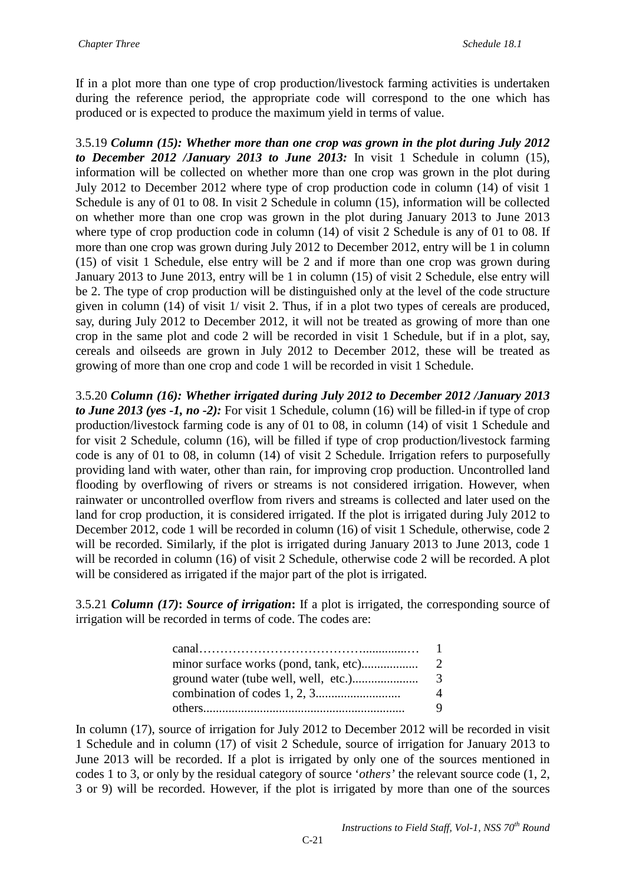If in a plot more than one type of crop production/livestock farming activities is undertaken during the reference period, the appropriate code will correspond to the one which has produced or is expected to produce the maximum yield in terms of value.

3.5.19 *Column (15): Whether more than one crop was grown in the plot during July 2012 to December 2012 /January 2013 to June 2013:* In visit 1 Schedule in column (15), information will be collected on whether more than one crop was grown in the plot during July 2012 to December 2012 where type of crop production code in column (14) of visit 1 Schedule is any of 01 to 08. In visit 2 Schedule in column (15), information will be collected on whether more than one crop was grown in the plot during January 2013 to June 2013 where type of crop production code in column (14) of visit 2 Schedule is any of 01 to 08. If more than one crop was grown during July 2012 to December 2012, entry will be 1 in column (15) of visit 1 Schedule, else entry will be 2 and if more than one crop was grown during January 2013 to June 2013, entry will be 1 in column (15) of visit 2 Schedule, else entry will be 2. The type of crop production will be distinguished only at the level of the code structure given in column (14) of visit 1/ visit 2. Thus, if in a plot two types of cereals are produced, say, during July 2012 to December 2012, it will not be treated as growing of more than one crop in the same plot and code 2 will be recorded in visit 1 Schedule, but if in a plot, say, cereals and oilseeds are grown in July 2012 to December 2012, these will be treated as growing of more than one crop and code 1 will be recorded in visit 1 Schedule.

3.5.20 *Column (16): Whether irrigated during July 2012 to December 2012 /January 2013 to June 2013 (yes -1, no -2):* For visit 1 Schedule, column (16) will be filled-in if type of crop production/livestock farming code is any of 01 to 08, in column (14) of visit 1 Schedule and for visit 2 Schedule, column (16), will be filled if type of crop production/livestock farming code is any of 01 to 08, in column (14) of visit 2 Schedule. Irrigation refers to purposefully providing land with water, other than rain, for improving crop production. Uncontrolled land flooding by overflowing of rivers or streams is not considered irrigation. However, when rainwater or uncontrolled overflow from rivers and streams is collected and later used on the land for crop production, it is considered irrigated. If the plot is irrigated during July 2012 to December 2012, code 1 will be recorded in column (16) of visit 1 Schedule, otherwise, code 2 will be recorded. Similarly, if the plot is irrigated during January 2013 to June 2013, code 1 will be recorded in column (16) of visit 2 Schedule, otherwise code 2 will be recorded. A plot will be considered as irrigated if the major part of the plot is irrigated.

3.5.21 *Column (17)***:** *Source of irrigation***:** If a plot is irrigated, the corresponding source of irrigation will be recorded in terms of code. The codes are:

| Δ |
|---|
| 9 |

In column (17), source of irrigation for July 2012 to December 2012 will be recorded in visit 1 Schedule and in column (17) of visit 2 Schedule, source of irrigation for January 2013 to June 2013 will be recorded. If a plot is irrigated by only one of the sources mentioned in codes 1 to 3, or only by the residual category of source '*others'* the relevant source code (1, 2, 3 or 9) will be recorded. However, if the plot is irrigated by more than one of the sources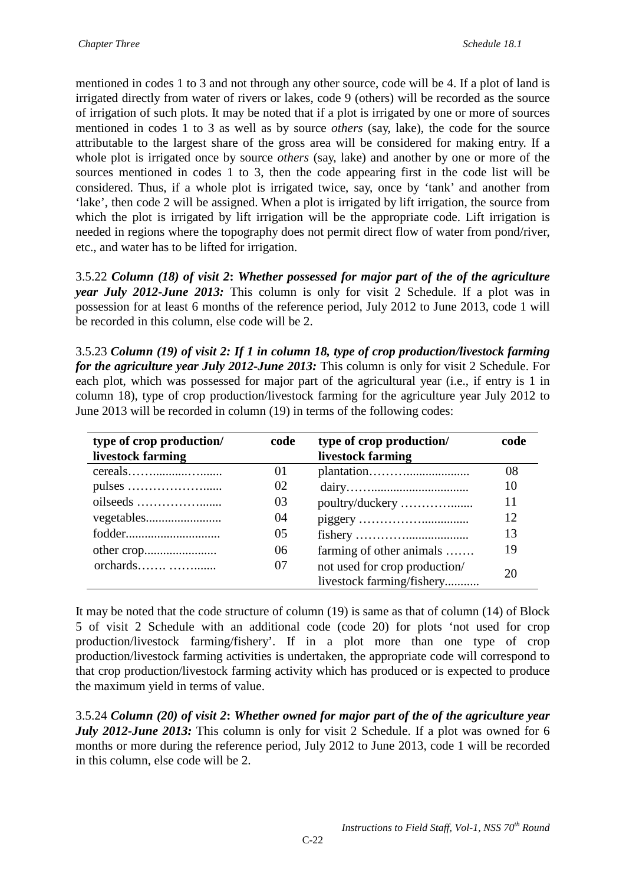mentioned in codes 1 to 3 and not through any other source, code will be 4. If a plot of land is irrigated directly from water of rivers or lakes, code 9 (others) will be recorded as the source of irrigation of such plots. It may be noted that if a plot is irrigated by one or more of sources mentioned in codes 1 to 3 as well as by source *others* (say, lake), the code for the source attributable to the largest share of the gross area will be considered for making entry. If a whole plot is irrigated once by source *others* (say, lake) and another by one or more of the sources mentioned in codes 1 to 3, then the code appearing first in the code list will be considered. Thus, if a whole plot is irrigated twice, say, once by 'tank' and another from 'lake', then code 2 will be assigned. When a plot is irrigated by lift irrigation, the source from which the plot is irrigated by lift irrigation will be the appropriate code. Lift irrigation is needed in regions where the topography does not permit direct flow of water from pond/river, etc., and water has to be lifted for irrigation.

3.5.22 *Column (18) of visit 2***:** *Whether possessed for major part of the of the agriculture year July 2012-June 2013:* This column is only for visit 2 Schedule. If a plot was in possession for at least 6 months of the reference period, July 2012 to June 2013, code 1 will be recorded in this column, else code will be 2.

3.5.23 *Column (19) of visit 2: If 1 in column 18, type of crop production/livestock farming for the agriculture year July 2012-June 2013:* This column is only for visit 2 Schedule. For each plot, which was possessed for major part of the agricultural year (i.e., if entry is 1 in column 18), type of crop production/livestock farming for the agriculture year July 2012 to June 2013 will be recorded in column (19) in terms of the following codes:

| type of crop production/ | code | type of crop production/      | code |
|--------------------------|------|-------------------------------|------|
| livestock farming        |      | livestock farming             |      |
|                          | 01   |                               | 08   |
|                          | 02   |                               | 10   |
|                          | 03   | poultry/duckery               | 11   |
|                          | 04   |                               | 12   |
| fodder                   | 05   |                               | 13   |
|                          | 06   | farming of other animals      | 19   |
| orchards                 | 07   | not used for crop production/ |      |
|                          |      | livestock farming/fishery     | 20   |

It may be noted that the code structure of column (19) is same as that of column (14) of Block 5 of visit 2 Schedule with an additional code (code 20) for plots 'not used for crop production/livestock farming/fishery'. If in a plot more than one type of crop production/livestock farming activities is undertaken, the appropriate code will correspond to that crop production/livestock farming activity which has produced or is expected to produce the maximum yield in terms of value.

3.5.24 *Column (20) of visit 2***:** *Whether owned for major part of the of the agriculture year July 2012-June 2013:* This column is only for visit 2 Schedule. If a plot was owned for 6 months or more during the reference period, July 2012 to June 2013, code 1 will be recorded in this column, else code will be 2.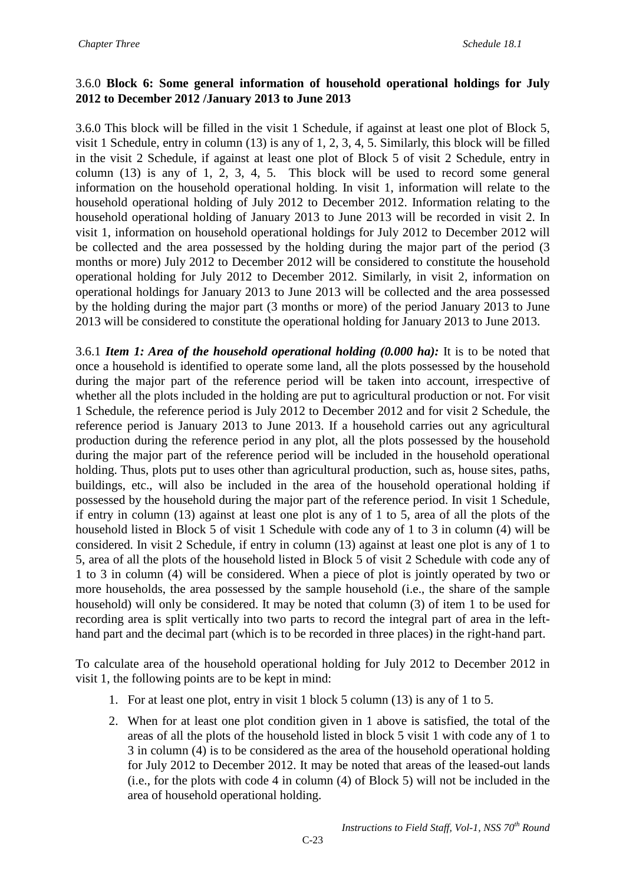## 3.6.0 **Block 6: Some general information of household operational holdings for July 2012 to December 2012 /January 2013 to June 2013**

3.6.0 This block will be filled in the visit 1 Schedule, if against at least one plot of Block 5, visit 1 Schedule, entry in column (13) is any of 1, 2, 3, 4, 5. Similarly, this block will be filled in the visit 2 Schedule, if against at least one plot of Block 5 of visit 2 Schedule, entry in column (13) is any of 1, 2, 3, 4, 5. This block will be used to record some general information on the household operational holding. In visit 1, information will relate to the household operational holding of July 2012 to December 2012. Information relating to the household operational holding of January 2013 to June 2013 will be recorded in visit 2. In visit 1, information on household operational holdings for July 2012 to December 2012 will be collected and the area possessed by the holding during the major part of the period (3 months or more) July 2012 to December 2012 will be considered to constitute the household operational holding for July 2012 to December 2012. Similarly, in visit 2, information on operational holdings for January 2013 to June 2013 will be collected and the area possessed by the holding during the major part (3 months or more) of the period January 2013 to June 2013 will be considered to constitute the operational holding for January 2013 to June 2013.

3.6.1 *Item 1: Area of the household operational holding (0.000 ha):* It is to be noted that once a household is identified to operate some land, all the plots possessed by the household during the major part of the reference period will be taken into account, irrespective of whether all the plots included in the holding are put to agricultural production or not. For visit 1 Schedule, the reference period is July 2012 to December 2012 and for visit 2 Schedule, the reference period is January 2013 to June 2013. If a household carries out any agricultural production during the reference period in any plot, all the plots possessed by the household during the major part of the reference period will be included in the household operational holding. Thus, plots put to uses other than agricultural production, such as, house sites, paths, buildings, etc., will also be included in the area of the household operational holding if possessed by the household during the major part of the reference period. In visit 1 Schedule, if entry in column (13) against at least one plot is any of 1 to 5, area of all the plots of the household listed in Block 5 of visit 1 Schedule with code any of 1 to 3 in column (4) will be considered. In visit 2 Schedule, if entry in column (13) against at least one plot is any of 1 to 5, area of all the plots of the household listed in Block 5 of visit 2 Schedule with code any of 1 to 3 in column (4) will be considered. When a piece of plot is jointly operated by two or more households, the area possessed by the sample household (i.e., the share of the sample household) will only be considered. It may be noted that column (3) of item 1 to be used for recording area is split vertically into two parts to record the integral part of area in the lefthand part and the decimal part (which is to be recorded in three places) in the right-hand part.

To calculate area of the household operational holding for July 2012 to December 2012 in visit 1, the following points are to be kept in mind:

- 1. For at least one plot, entry in visit 1 block 5 column (13) is any of 1 to 5.
- 2. When for at least one plot condition given in 1 above is satisfied, the total of the areas of all the plots of the household listed in block 5 visit 1 with code any of 1 to 3 in column (4) is to be considered as the area of the household operational holding for July 2012 to December 2012. It may be noted that areas of the leased-out lands (i.e., for the plots with code 4 in column (4) of Block 5) will not be included in the area of household operational holding.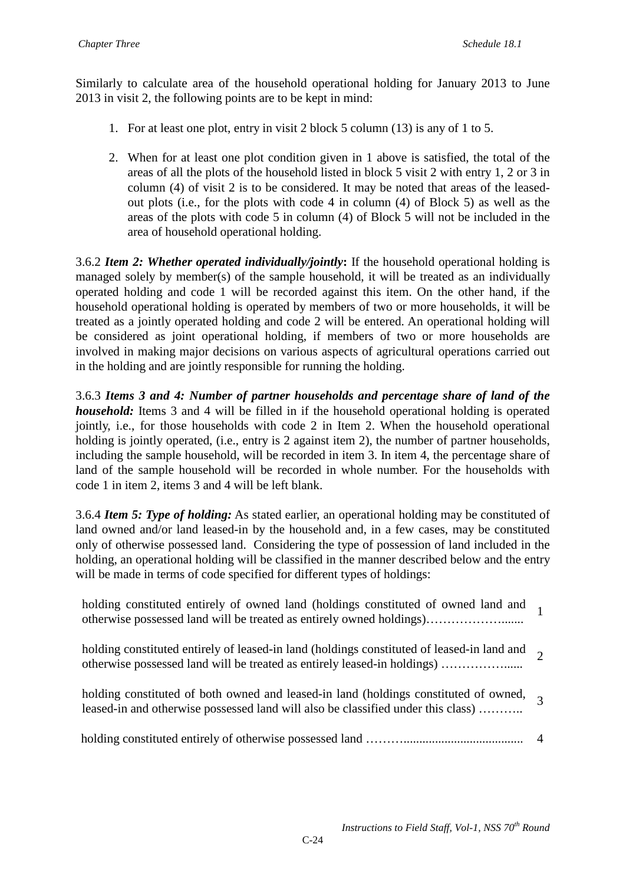Similarly to calculate area of the household operational holding for January 2013 to June 2013 in visit 2, the following points are to be kept in mind:

- 1. For at least one plot, entry in visit 2 block 5 column (13) is any of 1 to 5.
- 2. When for at least one plot condition given in 1 above is satisfied, the total of the areas of all the plots of the household listed in block 5 visit 2 with entry 1, 2 or 3 in column (4) of visit 2 is to be considered. It may be noted that areas of the leasedout plots (i.e., for the plots with code 4 in column (4) of Block 5) as well as the areas of the plots with code 5 in column (4) of Block 5 will not be included in the area of household operational holding.

3.6.2 *Item 2: Whether operated individually/jointly***:** If the household operational holding is managed solely by member(s) of the sample household, it will be treated as an individually operated holding and code 1 will be recorded against this item. On the other hand, if the household operational holding is operated by members of two or more households, it will be treated as a jointly operated holding and code 2 will be entered. An operational holding will be considered as joint operational holding, if members of two or more households are involved in making major decisions on various aspects of agricultural operations carried out in the holding and are jointly responsible for running the holding.

3.6.3 *Items 3 and 4: Number of partner households and percentage share of land of the household:* Items 3 and 4 will be filled in if the household operational holding is operated jointly, i.e., for those households with code 2 in Item 2. When the household operational holding is jointly operated, (i.e., entry is 2 against item 2), the number of partner households, including the sample household, will be recorded in item 3. In item 4, the percentage share of land of the sample household will be recorded in whole number. For the households with code 1 in item 2, items 3 and 4 will be left blank.

3.6.4 *Item 5: Type of holding:* As stated earlier, an operational holding may be constituted of land owned and/or land leased-in by the household and, in a few cases, may be constituted only of otherwise possessed land. Considering the type of possession of land included in the holding, an operational holding will be classified in the manner described below and the entry will be made in terms of code specified for different types of holdings:

holding constituted entirely of owned land (holdings constituted of owned land and otherwise possessed land will be treated as entirely owned holdings)………………....... <sup>1</sup>

holding constituted entirely of leased-in land (holdings constituted of leased-in land and otherwise possessed land will be treated as entirely leased-in holdings) ……………...... <sup>2</sup>

- holding constituted of both owned and leased-in land (holdings constituted of owned, leased-in and otherwise possessed land will also be classified under this class) ………... 3
- holding constituted entirely of otherwise possessed land ………...................................... 4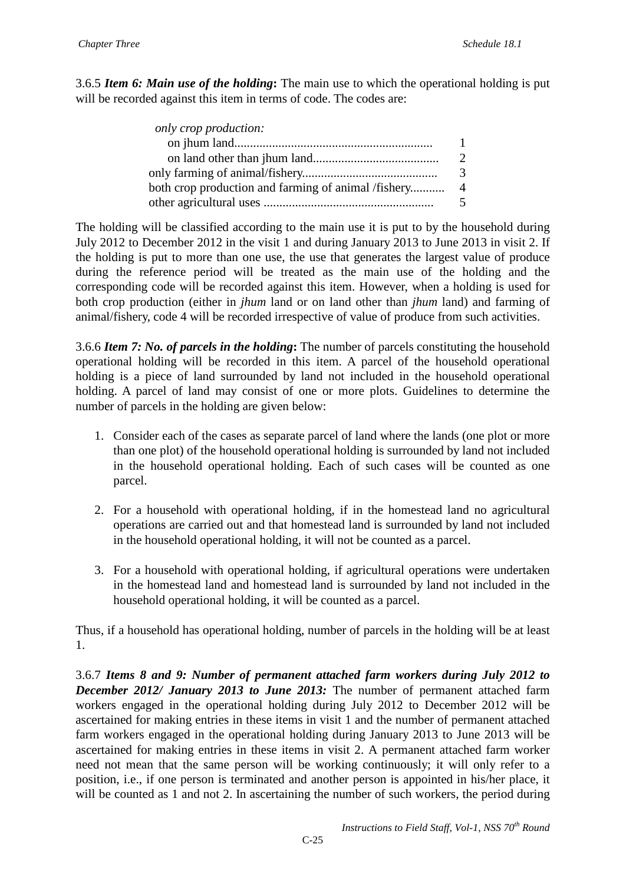3.6.5 *Item 6: Main use of the holding***:** The main use to which the operational holding is put will be recorded against this item in terms of code. The codes are:

| only crop production:                               |                         |
|-----------------------------------------------------|-------------------------|
|                                                     | 1                       |
|                                                     | $\mathcal{D}$           |
|                                                     | 3                       |
| both crop production and farming of animal /fishery | $\overline{4}$          |
|                                                     | $\overline{\mathbf{5}}$ |

The holding will be classified according to the main use it is put to by the household during July 2012 to December 2012 in the visit 1 and during January 2013 to June 2013 in visit 2. If the holding is put to more than one use, the use that generates the largest value of produce during the reference period will be treated as the main use of the holding and the corresponding code will be recorded against this item. However, when a holding is used for both crop production (either in *jhum* land or on land other than *jhum* land) and farming of animal/fishery, code 4 will be recorded irrespective of value of produce from such activities.

3.6.6 *Item 7: No. of parcels in the holding***:** The number of parcels constituting the household operational holding will be recorded in this item. A parcel of the household operational holding is a piece of land surrounded by land not included in the household operational holding. A parcel of land may consist of one or more plots. Guidelines to determine the number of parcels in the holding are given below:

- 1. Consider each of the cases as separate parcel of land where the lands (one plot or more than one plot) of the household operational holding is surrounded by land not included in the household operational holding. Each of such cases will be counted as one parcel.
- 2. For a household with operational holding, if in the homestead land no agricultural operations are carried out and that homestead land is surrounded by land not included in the household operational holding, it will not be counted as a parcel.
- 3. For a household with operational holding, if agricultural operations were undertaken in the homestead land and homestead land is surrounded by land not included in the household operational holding, it will be counted as a parcel.

Thus, if a household has operational holding, number of parcels in the holding will be at least 1.

3.6.7 *Items 8 and 9: Number of permanent attached farm workers during July 2012 to December 2012/ January 2013 to June 2013:* The number of permanent attached farm workers engaged in the operational holding during July 2012 to December 2012 will be ascertained for making entries in these items in visit 1 and the number of permanent attached farm workers engaged in the operational holding during January 2013 to June 2013 will be ascertained for making entries in these items in visit 2. A permanent attached farm worker need not mean that the same person will be working continuously; it will only refer to a position, i.e., if one person is terminated and another person is appointed in his/her place, it will be counted as 1 and not 2. In ascertaining the number of such workers, the period during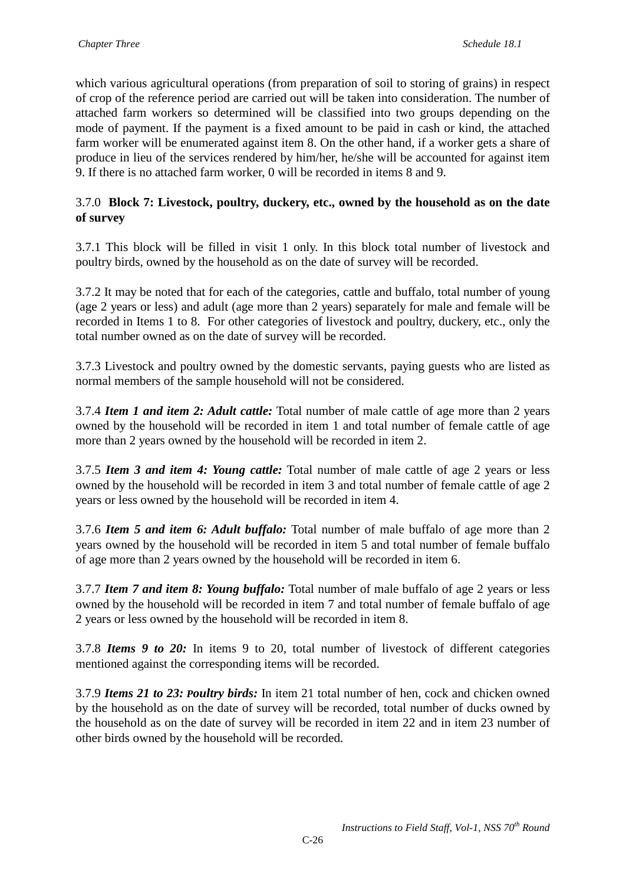which various agricultural operations (from preparation of soil to storing of grains) in respect of crop of the reference period are carried out will be taken into consideration. The number of attached farm workers so determined will be classified into two groups depending on the mode of payment. If the payment is a fixed amount to be paid in cash or kind, the attached farm worker will be enumerated against item 8. On the other hand, if a worker gets a share of produce in lieu of the services rendered by him/her, he/she will be accounted for against item 9. If there is no attached farm worker, 0 will be recorded in items 8 and 9.

## 3.7.0 **Block 7: Livestock, poultry, duckery, etc., owned by the household as on the date of survey**

3.7.1 This block will be filled in visit 1 only. In this block total number of livestock and poultry birds, owned by the household as on the date of survey will be recorded.

3.7.2 It may be noted that for each of the categories, cattle and buffalo, total number of young (age 2 years or less) and adult (age more than 2 years) separately for male and female will be recorded in Items 1 to 8. For other categories of livestock and poultry, duckery, etc., only the total number owned as on the date of survey will be recorded.

3.7.3 Livestock and poultry owned by the domestic servants, paying guests who are listed as normal members of the sample household will not be considered.

3.7.4 *Item 1 and item 2: Adult cattle:* Total number of male cattle of age more than 2 years owned by the household will be recorded in item 1 and total number of female cattle of age more than 2 years owned by the household will be recorded in item 2.

3.7.5 *Item 3 and item 4: Young cattle:* Total number of male cattle of age 2 years or less owned by the household will be recorded in item 3 and total number of female cattle of age 2 years or less owned by the household will be recorded in item 4.

3.7.6 *Item 5 and item 6: Adult buffalo:* Total number of male buffalo of age more than 2 years owned by the household will be recorded in item 5 and total number of female buffalo of age more than 2 years owned by the household will be recorded in item 6.

3.7.7 *Item 7 and item 8: Young buffalo:* Total number of male buffalo of age 2 years or less owned by the household will be recorded in item 7 and total number of female buffalo of age 2 years or less owned by the household will be recorded in item 8.

3.7.8 *Items 9 to 20:* In items 9 to 20, total number of livestock of different categories mentioned against the corresponding items will be recorded.

3.7.9 *Items 21 to 23: Poultry birds:* In item 21 total number of hen, cock and chicken owned by the household as on the date of survey will be recorded, total number of ducks owned by the household as on the date of survey will be recorded in item 22 and in item 23 number of other birds owned by the household will be recorded.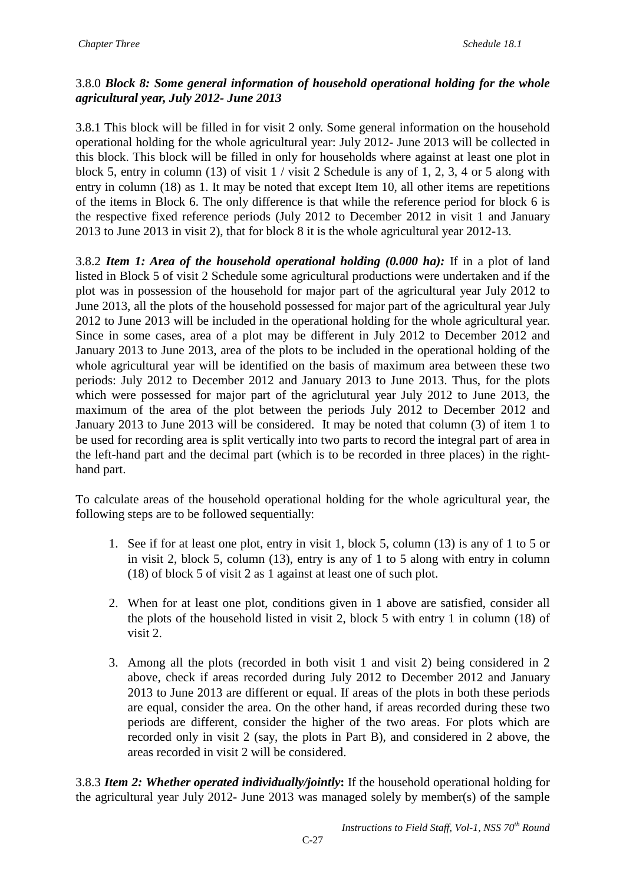# 3.8.0 *Block 8: Some general information of household operational holding for the whole agricultural year, July 2012- June 2013*

3.8.1 This block will be filled in for visit 2 only. Some general information on the household operational holding for the whole agricultural year: July 2012- June 2013 will be collected in this block. This block will be filled in only for households where against at least one plot in block 5, entry in column (13) of visit 1 / visit 2 Schedule is any of 1, 2, 3, 4 or 5 along with entry in column (18) as 1. It may be noted that except Item 10, all other items are repetitions of the items in Block 6. The only difference is that while the reference period for block 6 is the respective fixed reference periods (July 2012 to December 2012 in visit 1 and January 2013 to June 2013 in visit 2), that for block 8 it is the whole agricultural year 2012-13.

3.8.2 *Item 1: Area of the household operational holding (0.000 ha):* If in a plot of land listed in Block 5 of visit 2 Schedule some agricultural productions were undertaken and if the plot was in possession of the household for major part of the agricultural year July 2012 to June 2013, all the plots of the household possessed for major part of the agricultural year July 2012 to June 2013 will be included in the operational holding for the whole agricultural year. Since in some cases, area of a plot may be different in July 2012 to December 2012 and January 2013 to June 2013, area of the plots to be included in the operational holding of the whole agricultural year will be identified on the basis of maximum area between these two periods: July 2012 to December 2012 and January 2013 to June 2013. Thus, for the plots which were possessed for major part of the agriclutural year July 2012 to June 2013, the maximum of the area of the plot between the periods July 2012 to December 2012 and January 2013 to June 2013 will be considered. It may be noted that column (3) of item 1 to be used for recording area is split vertically into two parts to record the integral part of area in the left-hand part and the decimal part (which is to be recorded in three places) in the righthand part.

To calculate areas of the household operational holding for the whole agricultural year, the following steps are to be followed sequentially:

- 1. See if for at least one plot, entry in visit 1, block 5, column (13) is any of 1 to 5 or in visit 2, block 5, column (13), entry is any of 1 to 5 along with entry in column (18) of block 5 of visit 2 as 1 against at least one of such plot.
- 2. When for at least one plot, conditions given in 1 above are satisfied, consider all the plots of the household listed in visit 2, block 5 with entry 1 in column (18) of visit 2.
- 3. Among all the plots (recorded in both visit 1 and visit 2) being considered in 2 above, check if areas recorded during July 2012 to December 2012 and January 2013 to June 2013 are different or equal. If areas of the plots in both these periods are equal, consider the area. On the other hand, if areas recorded during these two periods are different, consider the higher of the two areas. For plots which are recorded only in visit 2 (say, the plots in Part B), and considered in 2 above, the areas recorded in visit 2 will be considered.

3.8.3 *Item 2: Whether operated individually/jointly***:** If the household operational holding for the agricultural year July 2012- June 2013 was managed solely by member(s) of the sample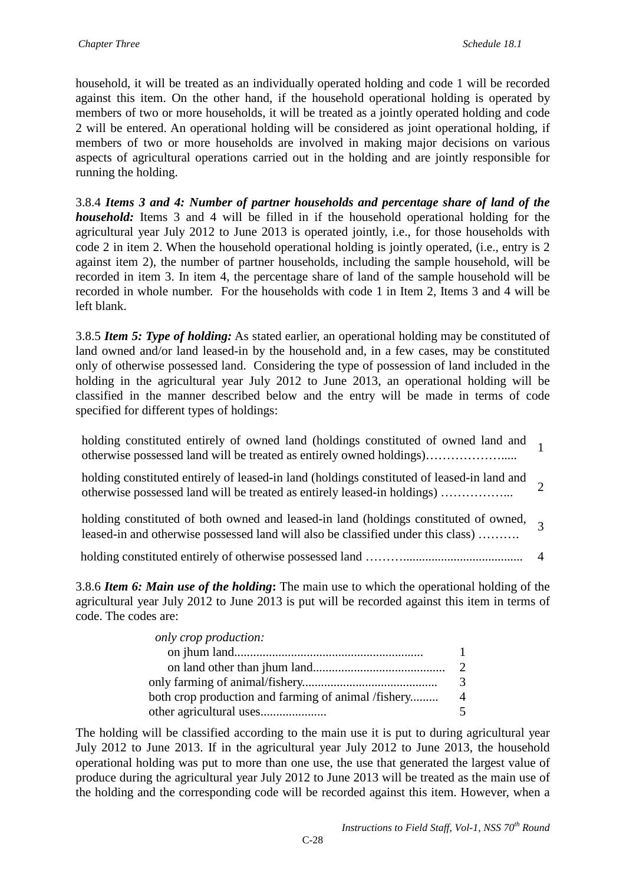household, it will be treated as an individually operated holding and code 1 will be recorded against this item. On the other hand, if the household operational holding is operated by members of two or more households, it will be treated as a jointly operated holding and code 2 will be entered. An operational holding will be considered as joint operational holding, if members of two or more households are involved in making major decisions on various aspects of agricultural operations carried out in the holding and are jointly responsible for running the holding.

3.8.4 *Items 3 and 4: Number of partner households and percentage share of land of the household:* Items 3 and 4 will be filled in if the household operational holding for the agricultural year July 2012 to June 2013 is operated jointly, i.e., for those households with code 2 in item 2. When the household operational holding is jointly operated, (i.e., entry is 2 against item 2), the number of partner households, including the sample household, will be recorded in item 3. In item 4, the percentage share of land of the sample household will be recorded in whole number. For the households with code 1 in Item 2, Items 3 and 4 will be left blank.

3.8.5 *Item 5: Type of holding:* As stated earlier, an operational holding may be constituted of land owned and/or land leased-in by the household and, in a few cases, may be constituted only of otherwise possessed land. Considering the type of possession of land included in the holding in the agricultural year July 2012 to June 2013, an operational holding will be classified in the manner described below and the entry will be made in terms of code specified for different types of holdings:

holding constituted entirely of owned land (holdings constituted of owned land and otherwise possessed land will be treated as entirely owned holdings)………………..... <sup>1</sup>

holding constituted entirely of leased-in land (holdings constituted of leased-in land and otherwise possessed land will be treated as entirely leased-in holdings) ……………... 2

| holding constituted of both owned and leased-in land (holdings constituted of owned, $\overline{2}$ |  |
|-----------------------------------------------------------------------------------------------------|--|
| leased-in and otherwise possessed land will also be classified under this class)                    |  |

holding constituted entirely of otherwise possessed land ………...................................... 4

3.8.6 *Item 6: Main use of the holding***:** The main use to which the operational holding of the agricultural year July 2012 to June 2013 is put will be recorded against this item in terms of code. The codes are:

| only crop production:                               |               |
|-----------------------------------------------------|---------------|
|                                                     |               |
|                                                     | $\mathcal{D}$ |
|                                                     | 3             |
| both crop production and farming of animal /fishery | 4             |
|                                                     |               |

The holding will be classified according to the main use it is put to during agricultural year July 2012 to June 2013. If in the agricultural year July 2012 to June 2013, the household operational holding was put to more than one use, the use that generated the largest value of produce during the agricultural year July 2012 to June 2013 will be treated as the main use of the holding and the corresponding code will be recorded against this item. However, when a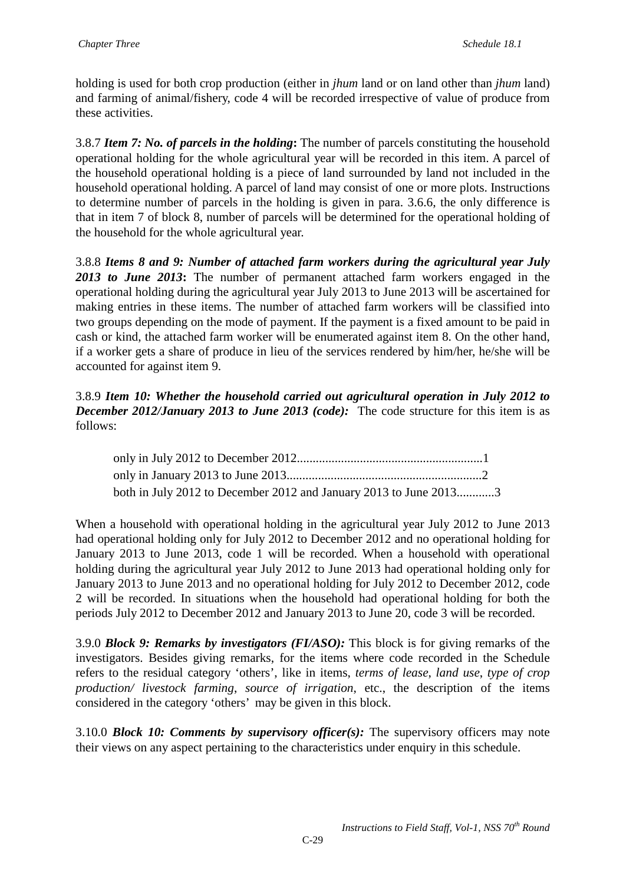holding is used for both crop production (either in *jhum* land or on land other than *jhum* land) and farming of animal/fishery, code 4 will be recorded irrespective of value of produce from these activities.

3.8.7 *Item 7: No. of parcels in the holding***:** The number of parcels constituting the household operational holding for the whole agricultural year will be recorded in this item. A parcel of the household operational holding is a piece of land surrounded by land not included in the household operational holding. A parcel of land may consist of one or more plots. Instructions to determine number of parcels in the holding is given in para. 3.6.6, the only difference is that in item 7 of block 8, number of parcels will be determined for the operational holding of the household for the whole agricultural year.

3.8.8 *Items 8 and 9: Number of attached farm workers during the agricultural year July 2013 to June 2013***:** The number of permanent attached farm workers engaged in the operational holding during the agricultural year July 2013 to June 2013 will be ascertained for making entries in these items. The number of attached farm workers will be classified into two groups depending on the mode of payment. If the payment is a fixed amount to be paid in cash or kind, the attached farm worker will be enumerated against item 8. On the other hand, if a worker gets a share of produce in lieu of the services rendered by him/her, he/she will be accounted for against item 9.

### 3.8.9 *Item 10: Whether the household carried out agricultural operation in July 2012 to December 2012/January 2013 to June 2013 (code):* The code structure for this item is as follows:

| both in July 2012 to December 2012 and January 2013 to June 20133 |  |
|-------------------------------------------------------------------|--|

When a household with operational holding in the agricultural year July 2012 to June 2013 had operational holding only for July 2012 to December 2012 and no operational holding for January 2013 to June 2013, code 1 will be recorded. When a household with operational holding during the agricultural year July 2012 to June 2013 had operational holding only for January 2013 to June 2013 and no operational holding for July 2012 to December 2012, code 2 will be recorded. In situations when the household had operational holding for both the periods July 2012 to December 2012 and January 2013 to June 20, code 3 will be recorded.

3.9.0 *Block 9: Remarks by investigators (FI/ASO):* This block is for giving remarks of the investigators. Besides giving remarks, for the items where code recorded in the Schedule refers to the residual category 'others', like in items, *terms of lease*, *land use*, *type of crop production/ livestock farming*, *source of irrigation*, etc., the description of the items considered in the category 'others' may be given in this block.

3.10.0 *Block 10: Comments by supervisory officer(s):* The supervisory officers may note their views on any aspect pertaining to the characteristics under enquiry in this schedule.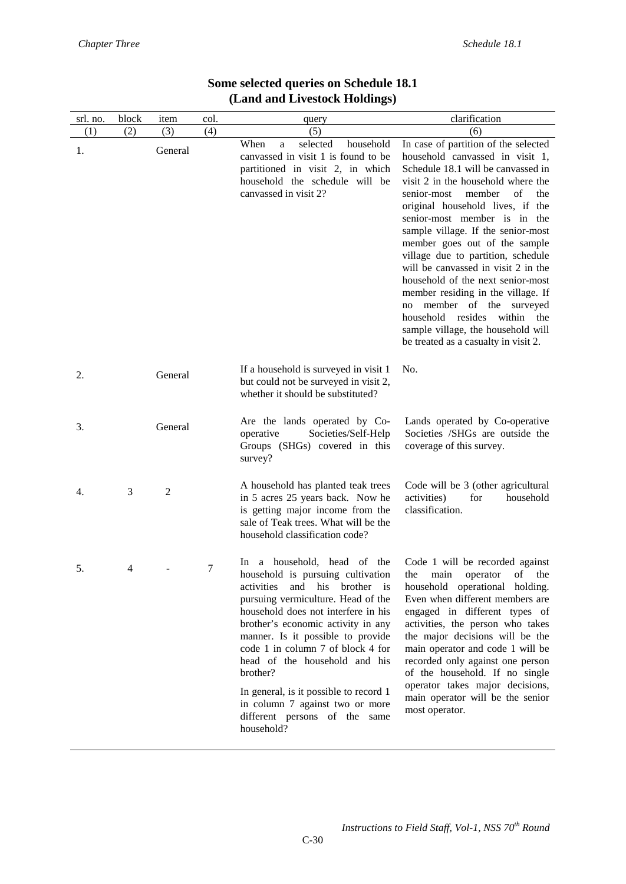| srl. no. | block | item           | col. | query                                                                                                                                                                                                                                                                                                                                                                                                                                                                            | clarification                                                                                                                                                                                                                                                                                                                                                                                                                                                                                                                                                                                                                                       |
|----------|-------|----------------|------|----------------------------------------------------------------------------------------------------------------------------------------------------------------------------------------------------------------------------------------------------------------------------------------------------------------------------------------------------------------------------------------------------------------------------------------------------------------------------------|-----------------------------------------------------------------------------------------------------------------------------------------------------------------------------------------------------------------------------------------------------------------------------------------------------------------------------------------------------------------------------------------------------------------------------------------------------------------------------------------------------------------------------------------------------------------------------------------------------------------------------------------------------|
| (1)      | (2)   | (3)            | (4)  | (5)                                                                                                                                                                                                                                                                                                                                                                                                                                                                              | (6)                                                                                                                                                                                                                                                                                                                                                                                                                                                                                                                                                                                                                                                 |
| 1.       |       | General        |      | When<br>selected<br>household<br>a<br>canvassed in visit 1 is found to be<br>partitioned in visit 2, in which<br>household the schedule will be<br>canvassed in visit 2?                                                                                                                                                                                                                                                                                                         | In case of partition of the selected<br>household canvassed in visit 1,<br>Schedule 18.1 will be canvassed in<br>visit 2 in the household where the<br>of<br>member<br>senior-most<br>the<br>original household lives, if the<br>senior-most member is in the<br>sample village. If the senior-most<br>member goes out of the sample<br>village due to partition, schedule<br>will be canvassed in visit 2 in the<br>household of the next senior-most<br>member residing in the village. If<br>member of the surveyed<br>no<br>household<br>resides<br>within<br>the<br>sample village, the household will<br>be treated as a casualty in visit 2. |
| 2.       |       | General        |      | If a household is surveyed in visit 1<br>but could not be surveyed in visit 2,<br>whether it should be substituted?                                                                                                                                                                                                                                                                                                                                                              | No.                                                                                                                                                                                                                                                                                                                                                                                                                                                                                                                                                                                                                                                 |
| 3.       |       | General        |      | Are the lands operated by Co-<br>operative<br>Societies/Self-Help<br>Groups (SHGs) covered in this<br>survey?                                                                                                                                                                                                                                                                                                                                                                    | Lands operated by Co-operative<br>Societies /SHGs are outside the<br>coverage of this survey.                                                                                                                                                                                                                                                                                                                                                                                                                                                                                                                                                       |
| 4.       | 3     | $\mathfrak{2}$ |      | A household has planted teak trees<br>in 5 acres 25 years back. Now he<br>is getting major income from the<br>sale of Teak trees. What will be the<br>household classification code?                                                                                                                                                                                                                                                                                             | Code will be 3 (other agricultural<br>activities)<br>for<br>household<br>classification.                                                                                                                                                                                                                                                                                                                                                                                                                                                                                                                                                            |
| 5.       | 4     |                | 7    | In a household, head of the<br>household is pursuing cultivation<br>and<br>his<br>brother is<br>activities<br>pursuing vermiculture. Head of the<br>household does not interfere in his<br>brother's economic activity in any<br>manner. Is it possible to provide<br>code 1 in column 7 of block 4 for<br>head of the household and his<br>brother?<br>In general, is it possible to record 1<br>in column 7 against two or more<br>different persons of the same<br>household? | Code 1 will be recorded against<br>οf<br>the<br>main<br>operator<br>the<br>household operational holding.<br>Even when different members are<br>engaged in different types of<br>activities, the person who takes<br>the major decisions will be the<br>main operator and code 1 will be<br>recorded only against one person<br>of the household. If no single<br>operator takes major decisions,<br>main operator will be the senior<br>most operator.                                                                                                                                                                                             |

### **Some selected queries on Schedule 18.1 (Land and Livestock Holdings)**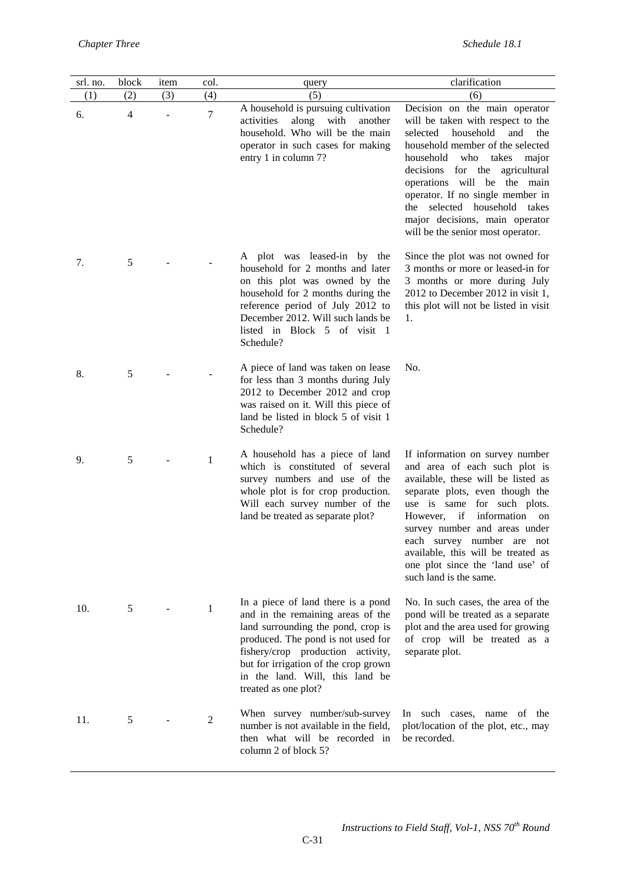| srl. no. | block          | item | col.           | query                                                                                                                                                                                                                                                                                       | clarification                                                                                                                                                                                                                                                                                                                                                                                |
|----------|----------------|------|----------------|---------------------------------------------------------------------------------------------------------------------------------------------------------------------------------------------------------------------------------------------------------------------------------------------|----------------------------------------------------------------------------------------------------------------------------------------------------------------------------------------------------------------------------------------------------------------------------------------------------------------------------------------------------------------------------------------------|
| (1)      | (2)            | (3)  | (4)            | (5)                                                                                                                                                                                                                                                                                         | (6)                                                                                                                                                                                                                                                                                                                                                                                          |
| 6.       | $\overline{4}$ |      | $\tau$         | A household is pursuing cultivation<br>along<br>with<br>activities<br>another<br>household. Who will be the main<br>operator in such cases for making<br>entry 1 in column 7?                                                                                                               | Decision on the main operator<br>will be taken with respect to the<br>household<br>and<br>selected<br>the<br>household member of the selected<br>household<br>who<br>takes major<br>decisions for the agricultural<br>operations will be the main<br>operator. If no single member in<br>the selected household takes<br>major decisions, main operator<br>will be the senior most operator. |
| 7.       | 5              |      |                | A plot was leased-in by the<br>household for 2 months and later<br>on this plot was owned by the<br>household for 2 months during the<br>reference period of July 2012 to<br>December 2012. Will such lands be<br>listed in Block 5 of visit 1<br>Schedule?                                 | Since the plot was not owned for<br>3 months or more or leased-in for<br>3 months or more during July<br>2012 to December 2012 in visit 1,<br>this plot will not be listed in visit<br>1.                                                                                                                                                                                                    |
| 8.       | 5              |      |                | A piece of land was taken on lease<br>for less than 3 months during July<br>2012 to December 2012 and crop<br>was raised on it. Will this piece of<br>land be listed in block 5 of visit 1<br>Schedule?                                                                                     | No.                                                                                                                                                                                                                                                                                                                                                                                          |
| 9.       | 5              |      | 1              | A household has a piece of land<br>which is constituted of several<br>survey numbers and use of the<br>whole plot is for crop production.<br>Will each survey number of the<br>land be treated as separate plot?                                                                            | If information on survey number<br>and area of each such plot is<br>available, these will be listed as<br>separate plots, even though the<br>use is same for such plots.<br>if<br>information on<br>However,<br>survey number and areas under<br>each survey number are not<br>available, this will be treated as<br>one plot since the 'land use' of<br>such land is the same.              |
| 10.      | 5              |      | $\mathbf{1}$   | In a piece of land there is a pond<br>and in the remaining areas of the<br>land surrounding the pond, crop is<br>produced. The pond is not used for<br>fishery/crop production activity,<br>but for irrigation of the crop grown<br>in the land. Will, this land be<br>treated as one plot? | No. In such cases, the area of the<br>pond will be treated as a separate<br>plot and the area used for growing<br>of crop will be treated as a<br>separate plot.                                                                                                                                                                                                                             |
| 11.      | 5              |      | $\overline{2}$ | When survey number/sub-survey<br>number is not available in the field,<br>then what will be recorded in<br>column 2 of block 5?                                                                                                                                                             | In such cases, name of the<br>plot/location of the plot, etc., may<br>be recorded.                                                                                                                                                                                                                                                                                                           |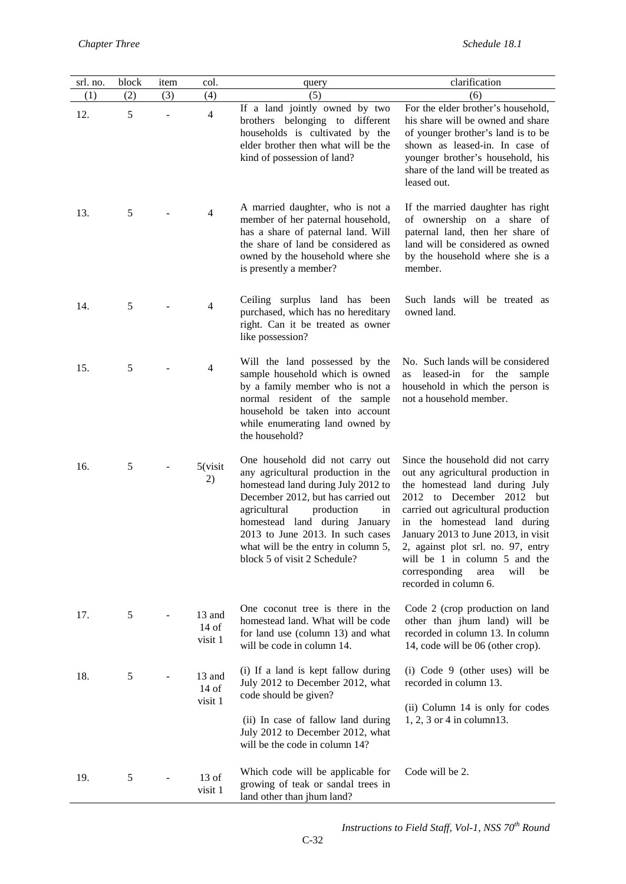| srl. no. | block | item | col.                         | query                                                                                                                                                                                                                                                                                                                             | clarification                                                                                                                                                                                                                                                                                                                                                                               |
|----------|-------|------|------------------------------|-----------------------------------------------------------------------------------------------------------------------------------------------------------------------------------------------------------------------------------------------------------------------------------------------------------------------------------|---------------------------------------------------------------------------------------------------------------------------------------------------------------------------------------------------------------------------------------------------------------------------------------------------------------------------------------------------------------------------------------------|
| (1)      | (2)   | (3)  | (4)                          | (5)                                                                                                                                                                                                                                                                                                                               | (6)                                                                                                                                                                                                                                                                                                                                                                                         |
| 12.      | 5     |      | $\overline{\mathcal{A}}$     | If a land jointly owned by two<br>brothers belonging to different<br>households is cultivated by the<br>elder brother then what will be the<br>kind of possession of land?                                                                                                                                                        | For the elder brother's household,<br>his share will be owned and share<br>of younger brother's land is to be<br>shown as leased-in. In case of<br>younger brother's household, his<br>share of the land will be treated as<br>leased out.                                                                                                                                                  |
| 13.      | 5     |      | $\overline{4}$               | A married daughter, who is not a<br>member of her paternal household,<br>has a share of paternal land. Will<br>the share of land be considered as<br>owned by the household where she<br>is presently a member?                                                                                                                   | If the married daughter has right<br>of ownership on a share of<br>paternal land, then her share of<br>land will be considered as owned<br>by the household where she is a<br>member.                                                                                                                                                                                                       |
| 14.      | 5     |      | 4                            | Ceiling surplus land has been<br>purchased, which has no hereditary<br>right. Can it be treated as owner<br>like possession?                                                                                                                                                                                                      | Such lands will be treated as<br>owned land.                                                                                                                                                                                                                                                                                                                                                |
| 15.      | 5     |      | $\overline{4}$               | Will the land possessed by the<br>sample household which is owned<br>by a family member who is not a<br>normal resident of the sample<br>household be taken into account<br>while enumerating land owned by<br>the household?                                                                                                     | No. Such lands will be considered<br>leased-in for the<br>sample<br>as<br>household in which the person is<br>not a household member.                                                                                                                                                                                                                                                       |
| 16.      | 5     |      | 5(visit)<br>2)               | One household did not carry out<br>any agricultural production in the<br>homestead land during July 2012 to<br>December 2012, but has carried out<br>production<br>in<br>agricultural<br>homestead land during January<br>2013 to June 2013. In such cases<br>what will be the entry in column 5,<br>block 5 of visit 2 Schedule? | Since the household did not carry<br>out any agricultural production in<br>the homestead land during July<br>2012 to December 2012 but<br>carried out agricultural production<br>in the homestead land during<br>January 2013 to June 2013, in visit<br>2, against plot srl. no. 97, entry<br>will be 1 in column 5 and the<br>corresponding<br>will<br>area<br>be<br>recorded in column 6. |
| 17.      | 5     |      | 13 and<br>$14$ of<br>visit 1 | One coconut tree is there in the<br>homestead land. What will be code<br>for land use (column 13) and what<br>will be code in column 14.                                                                                                                                                                                          | Code 2 (crop production on land<br>other than jhum land) will be<br>recorded in column 13. In column<br>14, code will be 06 (other crop).                                                                                                                                                                                                                                                   |
| 18.      | 5     |      | 13 and<br>$14$ of<br>visit 1 | (i) If a land is kept fallow during<br>July 2012 to December 2012, what<br>code should be given?<br>(ii) In case of fallow land during<br>July 2012 to December 2012, what<br>will be the code in column 14?                                                                                                                      | (i) Code 9 (other uses) will be<br>recorded in column 13.<br>(ii) Column 14 is only for codes<br>$1, 2, 3$ or 4 in column 13.                                                                                                                                                                                                                                                               |
| 19.      | 5     |      | $13$ of<br>visit 1           | Which code will be applicable for<br>growing of teak or sandal trees in<br>land other than jhum land?                                                                                                                                                                                                                             | Code will be 2.                                                                                                                                                                                                                                                                                                                                                                             |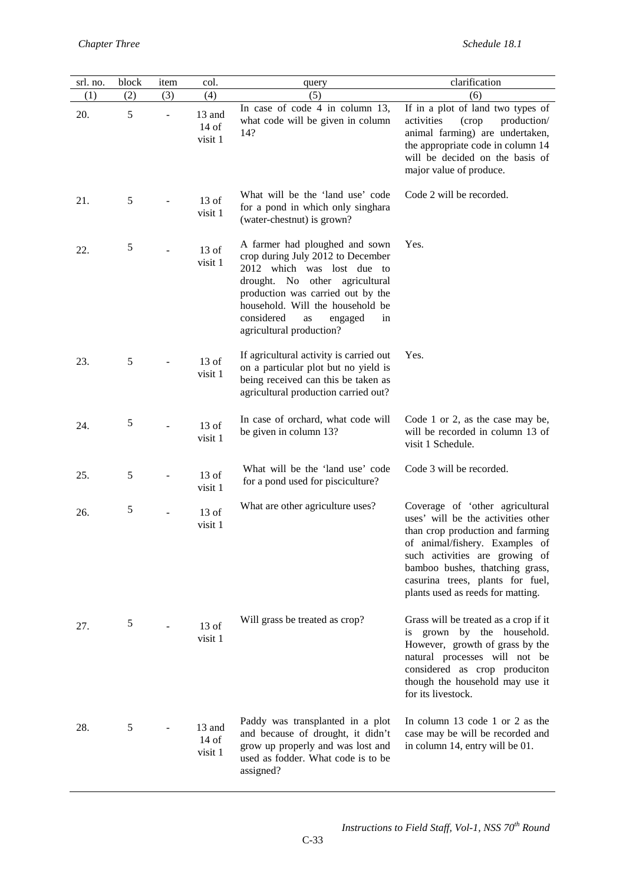| srl. no. | block | item | col.                         | query                                                                                                                                                                                                                                                                         | clarification                                                                                                                                                                                                                                                                             |
|----------|-------|------|------------------------------|-------------------------------------------------------------------------------------------------------------------------------------------------------------------------------------------------------------------------------------------------------------------------------|-------------------------------------------------------------------------------------------------------------------------------------------------------------------------------------------------------------------------------------------------------------------------------------------|
| (1)      | (2)   | (3)  | (4)                          | (5)                                                                                                                                                                                                                                                                           | (6)                                                                                                                                                                                                                                                                                       |
| 20.      | 5     |      | 13 and<br>$14$ of<br>visit 1 | In case of code 4 in column 13,<br>what code will be given in column<br>14?                                                                                                                                                                                                   | If in a plot of land two types of<br>activities<br>(crop<br>production/<br>animal farming) are undertaken,<br>the appropriate code in column 14<br>will be decided on the basis of<br>major value of produce.                                                                             |
| 21.      | 5     |      | $13$ of<br>visit 1           | What will be the 'land use' code<br>for a pond in which only singhara<br>(water-chestnut) is grown?                                                                                                                                                                           | Code 2 will be recorded.                                                                                                                                                                                                                                                                  |
| 22.      | 5     |      | $13$ of<br>visit 1           | A farmer had ploughed and sown<br>crop during July 2012 to December<br>2012 which was lost due to<br>drought. No other agricultural<br>production was carried out by the<br>household. Will the household be<br>considered<br>as<br>engaged<br>in<br>agricultural production? | Yes.                                                                                                                                                                                                                                                                                      |
| 23.      | 5     |      | $13$ of<br>visit 1           | If agricultural activity is carried out<br>on a particular plot but no yield is<br>being received can this be taken as<br>agricultural production carried out?                                                                                                                | Yes.                                                                                                                                                                                                                                                                                      |
| 24.      | 5     |      | $13$ of<br>visit 1           | In case of orchard, what code will<br>be given in column 13?                                                                                                                                                                                                                  | Code 1 or 2, as the case may be,<br>will be recorded in column 13 of<br>visit 1 Schedule.                                                                                                                                                                                                 |
| 25.      | 5     |      | $13$ of<br>visit 1           | What will be the 'land use' code<br>for a pond used for pisciculture?                                                                                                                                                                                                         | Code 3 will be recorded.                                                                                                                                                                                                                                                                  |
| 26.      | 5     |      | $13$ of<br>visit 1           | What are other agriculture uses?                                                                                                                                                                                                                                              | Coverage of 'other agricultural<br>uses' will be the activities other<br>than crop production and farming<br>of animal/fishery. Examples of<br>such activities are growing of<br>bamboo bushes, thatching grass,<br>casurina trees, plants for fuel,<br>plants used as reeds for matting. |
| 27.      | 5     |      | $13$ of<br>visit 1           | Will grass be treated as crop?                                                                                                                                                                                                                                                | Grass will be treated as a crop if it<br>is grown by the household.<br>However, growth of grass by the<br>natural processes will not be<br>considered as crop produciton<br>though the household may use it<br>for its livestock.                                                         |
| 28.      | 5     |      | 13 and<br>$14$ of<br>visit 1 | Paddy was transplanted in a plot<br>and because of drought, it didn't<br>grow up properly and was lost and<br>used as fodder. What code is to be<br>assigned?                                                                                                                 | In column 13 code 1 or 2 as the<br>case may be will be recorded and<br>in column 14, entry will be 01.                                                                                                                                                                                    |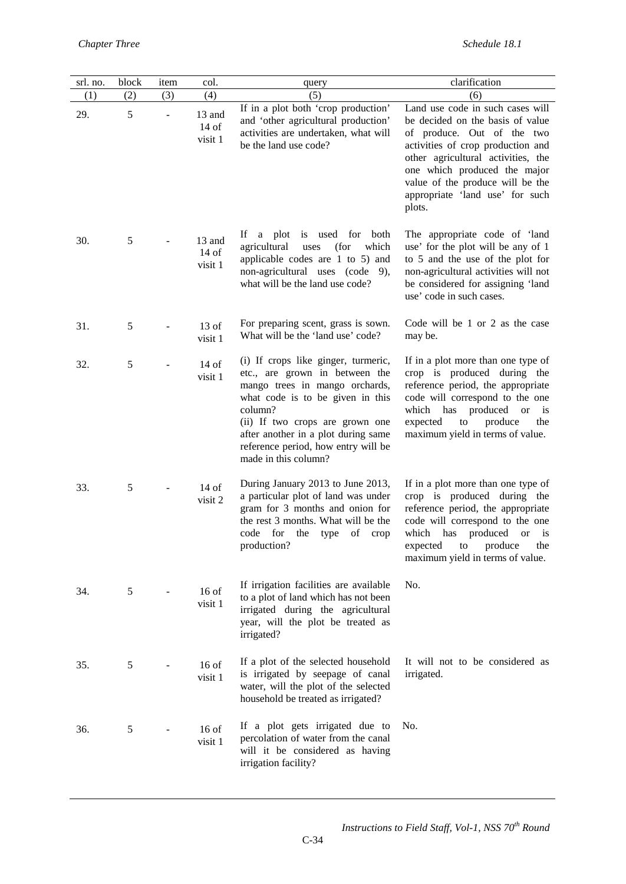| srl. no. | block | item | col.                         | query                                                                                                                                                                                                                                                                                           | clarification                                                                                                                                                                                                                                                                                  |
|----------|-------|------|------------------------------|-------------------------------------------------------------------------------------------------------------------------------------------------------------------------------------------------------------------------------------------------------------------------------------------------|------------------------------------------------------------------------------------------------------------------------------------------------------------------------------------------------------------------------------------------------------------------------------------------------|
| (1)      | (2)   | (3)  | (4)                          | (5)                                                                                                                                                                                                                                                                                             | (6)                                                                                                                                                                                                                                                                                            |
| 29.      | 5     |      | 13 and<br>$14$ of<br>visit 1 | If in a plot both 'crop production'<br>and 'other agricultural production'<br>activities are undertaken, what will<br>be the land use code?                                                                                                                                                     | Land use code in such cases will<br>be decided on the basis of value<br>of produce. Out of the two<br>activities of crop production and<br>other agricultural activities, the<br>one which produced the major<br>value of the produce will be the<br>appropriate 'land use' for such<br>plots. |
| 30.      | 5     |      | 13 and<br>$14$ of<br>visit 1 | Ιf<br>a plot is used for<br>both<br>which<br>agricultural<br>(for<br>uses<br>applicable codes are 1 to 5) and<br>non-agricultural uses (code 9),<br>what will be the land use code?                                                                                                             | The appropriate code of 'land<br>use' for the plot will be any of 1<br>to 5 and the use of the plot for<br>non-agricultural activities will not<br>be considered for assigning 'land<br>use' code in such cases.                                                                               |
| 31.      | 5     |      | $13$ of<br>visit 1           | For preparing scent, grass is sown.<br>What will be the 'land use' code?                                                                                                                                                                                                                        | Code will be 1 or 2 as the case<br>may be.                                                                                                                                                                                                                                                     |
| 32.      | 5     |      | $14$ of<br>visit 1           | (i) If crops like ginger, turmeric,<br>etc., are grown in between the<br>mango trees in mango orchards,<br>what code is to be given in this<br>column?<br>(ii) If two crops are grown one<br>after another in a plot during same<br>reference period, how entry will be<br>made in this column? | If in a plot more than one type of<br>crop is produced during the<br>reference period, the appropriate<br>code will correspond to the one<br>which<br>has<br>produced<br><b>or</b><br>is<br>expected<br>${\rm to}$<br>produce<br>the<br>maximum yield in terms of value.                       |
| 33.      | 5     |      | $14$ of<br>visit 2           | During January 2013 to June 2013,<br>a particular plot of land was under<br>gram for 3 months and onion for<br>the rest 3 months. What will be the<br>code for<br>the type<br>of<br>crop<br>production?                                                                                         | If in a plot more than one type of<br>crop is produced during the<br>reference period, the appropriate<br>code will correspond to the one<br>which<br>has produced<br><b>or</b><br>1S<br>expected to produce the<br>maximum yield in terms of value.                                           |
| 34.      | 5     |      | $16$ of<br>visit 1           | If irrigation facilities are available<br>to a plot of land which has not been<br>irrigated during the agricultural<br>year, will the plot be treated as<br>irrigated?                                                                                                                          | No.                                                                                                                                                                                                                                                                                            |
| 35.      | 5     |      | $16$ of<br>visit 1           | If a plot of the selected household<br>is irrigated by seepage of canal<br>water, will the plot of the selected<br>household be treated as irrigated?                                                                                                                                           | It will not to be considered as<br>irrigated.                                                                                                                                                                                                                                                  |
| 36.      | 5     |      | $16$ of<br>visit 1           | If a plot gets irrigated due to<br>percolation of water from the canal<br>will it be considered as having<br>irrigation facility?                                                                                                                                                               | No.                                                                                                                                                                                                                                                                                            |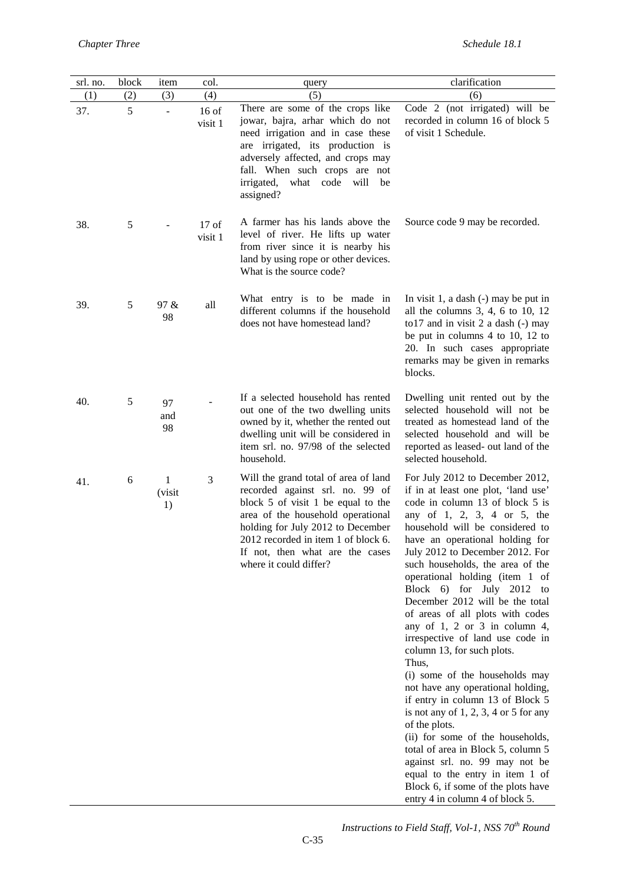| srl. no. | block         | item                     | col.               | query                                                                                                                                                                                                                                                                                       | clarification                                                                                                                                                                                                                                                                                                                                                                                                                                                                                                                                                                                                                                                                                                                                                                                                                                                                                                                                  |
|----------|---------------|--------------------------|--------------------|---------------------------------------------------------------------------------------------------------------------------------------------------------------------------------------------------------------------------------------------------------------------------------------------|------------------------------------------------------------------------------------------------------------------------------------------------------------------------------------------------------------------------------------------------------------------------------------------------------------------------------------------------------------------------------------------------------------------------------------------------------------------------------------------------------------------------------------------------------------------------------------------------------------------------------------------------------------------------------------------------------------------------------------------------------------------------------------------------------------------------------------------------------------------------------------------------------------------------------------------------|
| (1)      | (2)           | (3)                      | (4)                | (5)                                                                                                                                                                                                                                                                                         | (6)                                                                                                                                                                                                                                                                                                                                                                                                                                                                                                                                                                                                                                                                                                                                                                                                                                                                                                                                            |
| 37.      | 5             | $\overline{\phantom{a}}$ | $16$ of<br>visit 1 | There are some of the crops like<br>jowar, bajra, arhar which do not<br>need irrigation and in case these<br>are irrigated, its production is<br>adversely affected, and crops may<br>fall. When such crops are not<br>irrigated,<br>what code<br>will<br>be<br>assigned?                   | Code 2 (not irrigated) will be<br>recorded in column 16 of block 5<br>of visit 1 Schedule.                                                                                                                                                                                                                                                                                                                                                                                                                                                                                                                                                                                                                                                                                                                                                                                                                                                     |
| 38.      | $\mathfrak s$ |                          | $17$ of<br>visit 1 | A farmer has his lands above the<br>level of river. He lifts up water<br>from river since it is nearby his<br>land by using rope or other devices.<br>What is the source code?                                                                                                              | Source code 9 may be recorded.                                                                                                                                                                                                                                                                                                                                                                                                                                                                                                                                                                                                                                                                                                                                                                                                                                                                                                                 |
| 39.      | 5             | 97 &<br>98               | all                | What entry is to be made in<br>different columns if the household<br>does not have homestead land?                                                                                                                                                                                          | In visit 1, a dash $(-)$ may be put in<br>all the columns $3, 4, 6$ to $10, 12$<br>to 17 and in visit 2 a dash (-) may<br>be put in columns 4 to 10, 12 to<br>20. In such cases appropriate<br>remarks may be given in remarks<br>blocks.                                                                                                                                                                                                                                                                                                                                                                                                                                                                                                                                                                                                                                                                                                      |
| 40.      | 5             | 97<br>and<br>98          |                    | If a selected household has rented<br>out one of the two dwelling units<br>owned by it, whether the rented out<br>dwelling unit will be considered in<br>item srl. no. 97/98 of the selected<br>household.                                                                                  | Dwelling unit rented out by the<br>selected household will not be<br>treated as homestead land of the<br>selected household and will be<br>reported as leased- out land of the<br>selected household.                                                                                                                                                                                                                                                                                                                                                                                                                                                                                                                                                                                                                                                                                                                                          |
| 41.      | 6             | 1<br>(visit<br>1)        | 3                  | Will the grand total of area of land<br>recorded against srl. no. 99 of<br>block 5 of visit 1 be equal to the<br>area of the household operational<br>holding for July 2012 to December<br>2012 recorded in item 1 of block 6.<br>If not, then what are the cases<br>where it could differ? | For July 2012 to December 2012,<br>if in at least one plot, 'land use'<br>code in column 13 of block 5 is<br>any of 1, 2, 3, 4 or 5, the<br>household will be considered to<br>have an operational holding for<br>July 2012 to December 2012. For<br>such households, the area of the<br>operational holding (item 1 of<br>Block 6) for July 2012 to<br>December 2012 will be the total<br>of areas of all plots with codes<br>any of $1, 2$ or $3$ in column $4,$<br>irrespective of land use code in<br>column 13, for such plots.<br>Thus,<br>(i) some of the households may<br>not have any operational holding,<br>if entry in column 13 of Block 5<br>is not any of $1, 2, 3, 4$ or $5$ for any<br>of the plots.<br>(ii) for some of the households,<br>total of area in Block 5, column 5<br>against srl. no. 99 may not be<br>equal to the entry in item 1 of<br>Block 6, if some of the plots have<br>entry 4 in column 4 of block 5. |

*Instructions to Field Staff, Vol-1, NSS 70th Round*